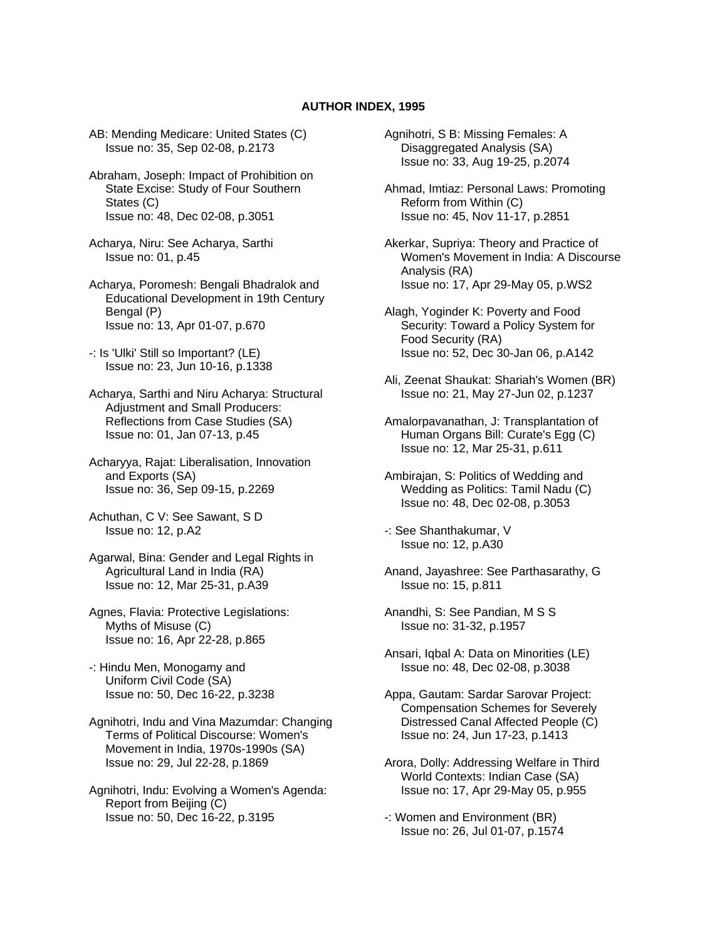## **AUTHOR INDEX, 1995**

AB: Mending Medicare: United States (C) Issue no: 35, Sep 02-08, p.2173

Abraham, Joseph: Impact of Prohibition on State Excise: Study of Four Southern States (C) Issue no: 48, Dec 02-08, p.3051

Acharya, Niru: See Acharya, Sarthi Issue no: 01, p.45

Acharya, Poromesh: Bengali Bhadralok and Educational Development in 19th Century Bengal (P) Issue no: 13, Apr 01-07, p.670

-: Is 'Ulki' Still so Important? (LE) Issue no: 23, Jun 10-16, p.1338

Acharya, Sarthi and Niru Acharya: Structural Adjustment and Small Producers: Reflections from Case Studies (SA) Issue no: 01, Jan 07-13, p.45

Acharyya, Rajat: Liberalisation, Innovation and Exports (SA) Issue no: 36, Sep 09-15, p.2269

Achuthan, C V: See Sawant, S D Issue no: 12, p.A2

Agarwal, Bina: Gender and Legal Rights in Agricultural Land in India (RA) Issue no: 12, Mar 25-31, p.A39

Agnes, Flavia: Protective Legislations: Myths of Misuse (C) Issue no: 16, Apr 22-28, p.865

-: Hindu Men, Monogamy and Uniform Civil Code (SA) Issue no: 50, Dec 16-22, p.3238

Agnihotri, Indu and Vina Mazumdar: Changing Terms of Political Discourse: Women's Movement in India, 1970s-1990s (SA) Issue no: 29, Jul 22-28, p.1869

Agnihotri, Indu: Evolving a Women's Agenda: Report from Beijing (C) Issue no: 50, Dec 16-22, p.3195

Agnihotri, S B: Missing Females: A Disaggregated Analysis (SA) Issue no: 33, Aug 19-25, p.2074

Ahmad, Imtiaz: Personal Laws: Promoting Reform from Within (C) Issue no: 45, Nov 11-17, p.2851

Akerkar, Supriya: Theory and Practice of Women's Movement in India: A Discourse Analysis (RA) Issue no: 17, Apr 29-May 05, p.WS2

Alagh, Yoginder K: Poverty and Food Security: Toward a Policy System for Food Security (RA) Issue no: 52, Dec 30-Jan 06, p.A142

Ali, Zeenat Shaukat: Shariah's Women (BR) Issue no: 21, May 27-Jun 02, p.1237

Amalorpavanathan, J: Transplantation of Human Organs Bill: Curate's Egg (C) Issue no: 12, Mar 25-31, p.611

Ambirajan, S: Politics of Wedding and Wedding as Politics: Tamil Nadu (C) Issue no: 48, Dec 02-08, p.3053

-: See Shanthakumar, V Issue no: 12, p.A30

Anand, Jayashree: See Parthasarathy, G Issue no: 15, p.811

Anandhi, S: See Pandian, M S S Issue no: 31-32, p.1957

Ansari, Iqbal A: Data on Minorities (LE) Issue no: 48, Dec 02-08, p.3038

Appa, Gautam: Sardar Sarovar Project: Compensation Schemes for Severely Distressed Canal Affected People (C) Issue no: 24, Jun 17-23, p.1413

Arora, Dolly: Addressing Welfare in Third World Contexts: Indian Case (SA) Issue no: 17, Apr 29-May 05, p.955

-: Women and Environment (BR) Issue no: 26, Jul 01-07, p.1574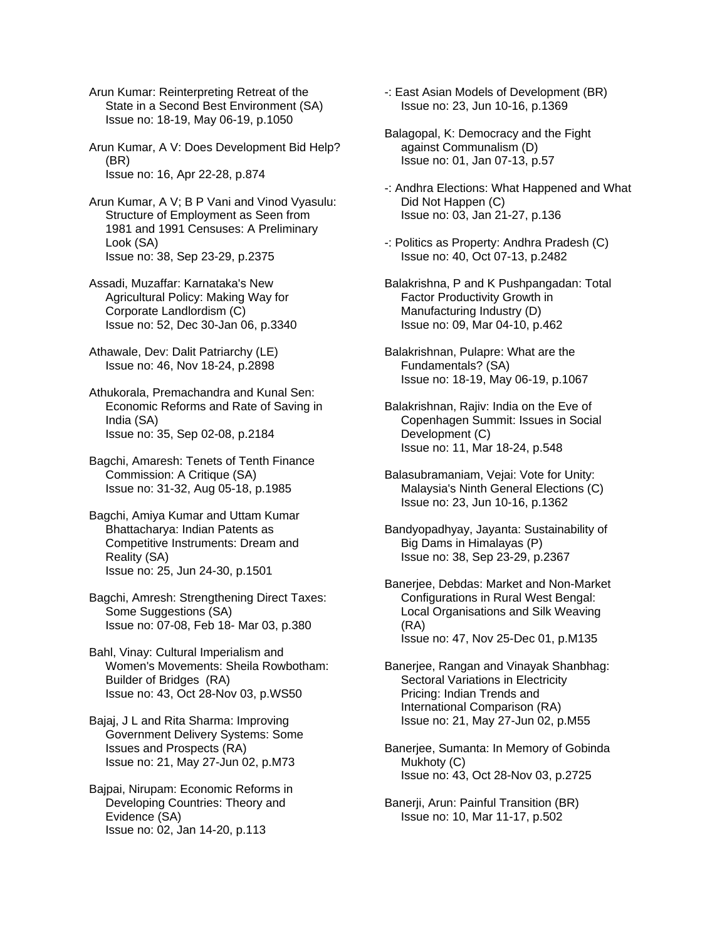Arun Kumar: Reinterpreting Retreat of the State in a Second Best Environment (SA) Issue no: 18-19, May 06-19, p.1050

Arun Kumar, A V: Does Development Bid Help? (BR) Issue no: 16, Apr 22-28, p.874

Arun Kumar, A V; B P Vani and Vinod Vyasulu: Structure of Employment as Seen from 1981 and 1991 Censuses: A Preliminary Look (SA) Issue no: 38, Sep 23-29, p.2375

Assadi, Muzaffar: Karnataka's New Agricultural Policy: Making Way for Corporate Landlordism (C) Issue no: 52, Dec 30-Jan 06, p.3340

Athawale, Dev: Dalit Patriarchy (LE) Issue no: 46, Nov 18-24, p.2898

Athukorala, Premachandra and Kunal Sen: Economic Reforms and Rate of Saving in India (SA) Issue no: 35, Sep 02-08, p.2184

Bagchi, Amaresh: Tenets of Tenth Finance Commission: A Critique (SA) Issue no: 31-32, Aug 05-18, p.1985

Bagchi, Amiya Kumar and Uttam Kumar Bhattacharya: Indian Patents as Competitive Instruments: Dream and Reality (SA) Issue no: 25, Jun 24-30, p.1501

Bagchi, Amresh: Strengthening Direct Taxes: Some Suggestions (SA) Issue no: 07-08, Feb 18- Mar 03, p.380

Bahl, Vinay: Cultural Imperialism and Women's Movements: Sheila Rowbotham: Builder of Bridges (RA) Issue no: 43, Oct 28-Nov 03, p.WS50

Bajaj, J L and Rita Sharma: Improving Government Delivery Systems: Some Issues and Prospects (RA) Issue no: 21, May 27-Jun 02, p.M73

Bajpai, Nirupam: Economic Reforms in Developing Countries: Theory and Evidence (SA) Issue no: 02, Jan 14-20, p.113

-: East Asian Models of Development (BR) Issue no: 23, Jun 10-16, p.1369

Balagopal, K: Democracy and the Fight against Communalism (D) Issue no: 01, Jan 07-13, p.57

-: Andhra Elections: What Happened and What Did Not Happen (C) Issue no: 03, Jan 21-27, p.136

- -: Politics as Property: Andhra Pradesh (C) Issue no: 40, Oct 07-13, p.2482
- Balakrishna, P and K Pushpangadan: Total Factor Productivity Growth in Manufacturing Industry (D) Issue no: 09, Mar 04-10, p.462

Balakrishnan, Pulapre: What are the Fundamentals? (SA) Issue no: 18-19, May 06-19, p.1067

Balakrishnan, Rajiv: India on the Eve of Copenhagen Summit: Issues in Social Development (C) Issue no: 11, Mar 18-24, p.548

Balasubramaniam, Vejai: Vote for Unity: Malaysia's Ninth General Elections (C) Issue no: 23, Jun 10-16, p.1362

Bandyopadhyay, Jayanta: Sustainability of Big Dams in Himalayas (P) Issue no: 38, Sep 23-29, p.2367

Banerjee, Debdas: Market and Non-Market Configurations in Rural West Bengal: Local Organisations and Silk Weaving (RA) Issue no: 47, Nov 25-Dec 01, p.M135

Banerjee, Rangan and Vinayak Shanbhag: Sectoral Variations in Electricity Pricing: Indian Trends and International Comparison (RA) Issue no: 21, May 27-Jun 02, p.M55

Banerjee, Sumanta: In Memory of Gobinda Mukhoty (C) Issue no: 43, Oct 28-Nov 03, p.2725

Banerji, Arun: Painful Transition (BR) Issue no: 10, Mar 11-17, p.502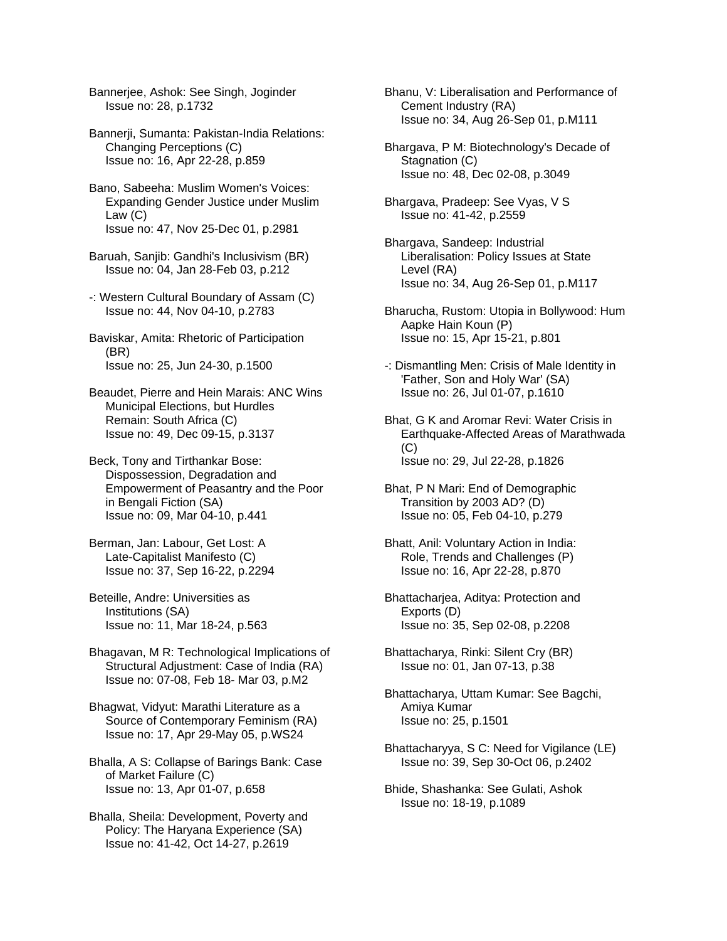Bannerjee, Ashok: See Singh, Joginder Issue no: 28, p.1732

Bannerji, Sumanta: Pakistan-India Relations: Changing Perceptions (C) Issue no: 16, Apr 22-28, p.859

Bano, Sabeeha: Muslim Women's Voices: Expanding Gender Justice under Muslim Law (C) Issue no: 47, Nov 25-Dec 01, p.2981

Baruah, Sanjib: Gandhi's Inclusivism (BR) Issue no: 04, Jan 28-Feb 03, p.212

-: Western Cultural Boundary of Assam (C) Issue no: 44, Nov 04-10, p.2783

Baviskar, Amita: Rhetoric of Participation (BR) Issue no: 25, Jun 24-30, p.1500

Beaudet, Pierre and Hein Marais: ANC Wins Municipal Elections, but Hurdles Remain: South Africa (C) Issue no: 49, Dec 09-15, p.3137

Beck, Tony and Tirthankar Bose: Dispossession, Degradation and Empowerment of Peasantry and the Poor in Bengali Fiction (SA) Issue no: 09, Mar 04-10, p.441

Berman, Jan: Labour, Get Lost: A Late-Capitalist Manifesto (C) Issue no: 37, Sep 16-22, p.2294

Beteille, Andre: Universities as Institutions (SA) Issue no: 11, Mar 18-24, p.563

Bhagavan, M R: Technological Implications of Structural Adjustment: Case of India (RA) Issue no: 07-08, Feb 18- Mar 03, p.M2

Bhagwat, Vidyut: Marathi Literature as a Source of Contemporary Feminism (RA) Issue no: 17, Apr 29-May 05, p.WS24

Bhalla, A S: Collapse of Barings Bank: Case of Market Failure (C) Issue no: 13, Apr 01-07, p.658

Bhalla, Sheila: Development, Poverty and Policy: The Haryana Experience (SA) Issue no: 41-42, Oct 14-27, p.2619

Bhanu, V: Liberalisation and Performance of Cement Industry (RA) Issue no: 34, Aug 26-Sep 01, p.M111

Bhargava, P M: Biotechnology's Decade of Stagnation (C) Issue no: 48, Dec 02-08, p.3049

Bhargava, Pradeep: See Vyas, V S Issue no: 41-42, p.2559

Bhargava, Sandeep: Industrial Liberalisation: Policy Issues at State Level (RA) Issue no: 34, Aug 26-Sep 01, p.M117

Bharucha, Rustom: Utopia in Bollywood: Hum Aapke Hain Koun (P) Issue no: 15, Apr 15-21, p.801

-: Dismantling Men: Crisis of Male Identity in 'Father, Son and Holy War' (SA) Issue no: 26, Jul 01-07, p.1610

Bhat, G K and Aromar Revi: Water Crisis in Earthquake-Affected Areas of Marathwada  $(C)$ Issue no: 29, Jul 22-28, p.1826

Bhat, P N Mari: End of Demographic Transition by 2003 AD? (D) Issue no: 05, Feb 04-10, p.279

Bhatt, Anil: Voluntary Action in India: Role, Trends and Challenges (P) Issue no: 16, Apr 22-28, p.870

Bhattacharjea, Aditya: Protection and Exports (D) Issue no: 35, Sep 02-08, p.2208

Bhattacharya, Rinki: Silent Cry (BR) Issue no: 01, Jan 07-13, p.38

Bhattacharya, Uttam Kumar: See Bagchi, Amiya Kumar Issue no: 25, p.1501

Bhattacharyya, S C: Need for Vigilance (LE) Issue no: 39, Sep 30-Oct 06, p.2402

Bhide, Shashanka: See Gulati, Ashok Issue no: 18-19, p.1089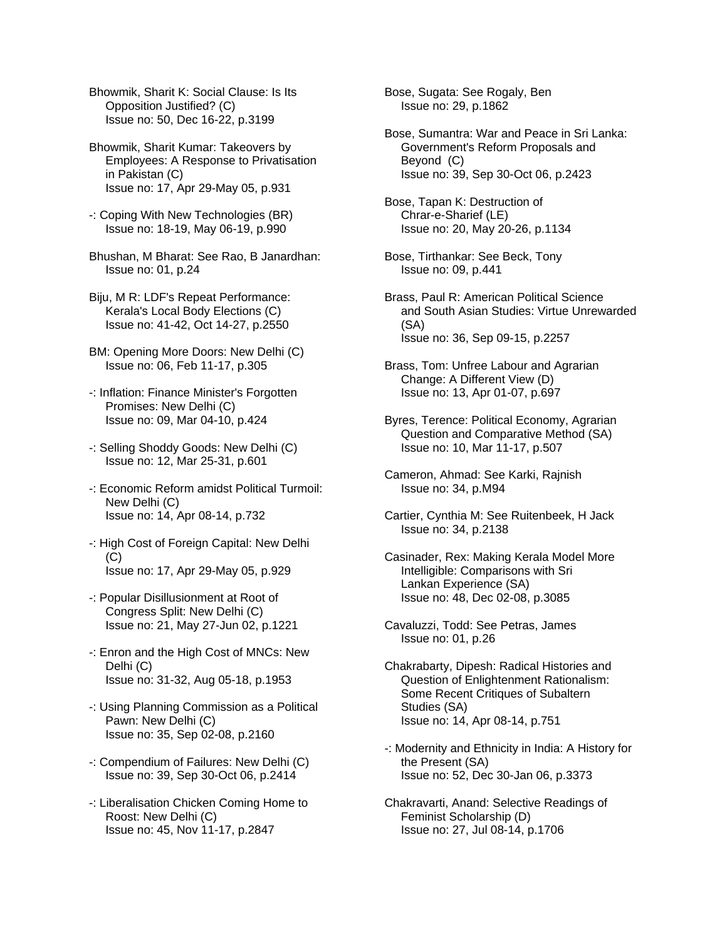Bhowmik, Sharit K: Social Clause: Is Its Opposition Justified? (C) Issue no: 50, Dec 16-22, p.3199

Bhowmik, Sharit Kumar: Takeovers by Employees: A Response to Privatisation in Pakistan (C) Issue no: 17, Apr 29-May 05, p.931

-: Coping With New Technologies (BR) Issue no: 18-19, May 06-19, p.990

Bhushan, M Bharat: See Rao, B Janardhan: Issue no: 01, p.24

Biju, M R: LDF's Repeat Performance: Kerala's Local Body Elections (C) Issue no: 41-42, Oct 14-27, p.2550

BM: Opening More Doors: New Delhi (C) Issue no: 06, Feb 11-17, p.305

-: Inflation: Finance Minister's Forgotten Promises: New Delhi (C) Issue no: 09, Mar 04-10, p.424

-: Selling Shoddy Goods: New Delhi (C) Issue no: 12, Mar 25-31, p.601

-: Economic Reform amidst Political Turmoil: New Delhi (C) Issue no: 14, Apr 08-14, p.732

-: High Cost of Foreign Capital: New Delhi (C) Issue no: 17, Apr 29-May 05, p.929

-: Popular Disillusionment at Root of Congress Split: New Delhi (C) Issue no: 21, May 27-Jun 02, p.1221

-: Enron and the High Cost of MNCs: New Delhi (C) Issue no: 31-32, Aug 05-18, p.1953

-: Using Planning Commission as a Political Pawn: New Delhi (C) Issue no: 35, Sep 02-08, p.2160

-: Compendium of Failures: New Delhi (C) Issue no: 39, Sep 30-Oct 06, p.2414

-: Liberalisation Chicken Coming Home to Roost: New Delhi (C) Issue no: 45, Nov 11-17, p.2847

Bose, Sugata: See Rogaly, Ben Issue no: 29, p.1862

Bose, Sumantra: War and Peace in Sri Lanka: Government's Reform Proposals and Beyond (C) Issue no: 39, Sep 30-Oct 06, p.2423

Bose, Tapan K: Destruction of Chrar-e-Sharief (LE) Issue no: 20, May 20-26, p.1134

Bose, Tirthankar: See Beck, Tony Issue no: 09, p.441

Brass, Paul R: American Political Science and South Asian Studies: Virtue Unrewarded (SA) Issue no: 36, Sep 09-15, p.2257

Brass, Tom: Unfree Labour and Agrarian Change: A Different View (D) Issue no: 13, Apr 01-07, p.697

Byres, Terence: Political Economy, Agrarian Question and Comparative Method (SA) Issue no: 10, Mar 11-17, p.507

Cameron, Ahmad: See Karki, Rajnish Issue no: 34, p.M94

Cartier, Cynthia M: See Ruitenbeek, H Jack Issue no: 34, p.2138

Casinader, Rex: Making Kerala Model More Intelligible: Comparisons with Sri Lankan Experience (SA) Issue no: 48, Dec 02-08, p.3085

Cavaluzzi, Todd: See Petras, James Issue no: 01, p.26

Chakrabarty, Dipesh: Radical Histories and Question of Enlightenment Rationalism: Some Recent Critiques of Subaltern Studies (SA) Issue no: 14, Apr 08-14, p.751

-: Modernity and Ethnicity in India: A History for the Present (SA) Issue no: 52, Dec 30-Jan 06, p.3373

Chakravarti, Anand: Selective Readings of Feminist Scholarship (D) Issue no: 27, Jul 08-14, p.1706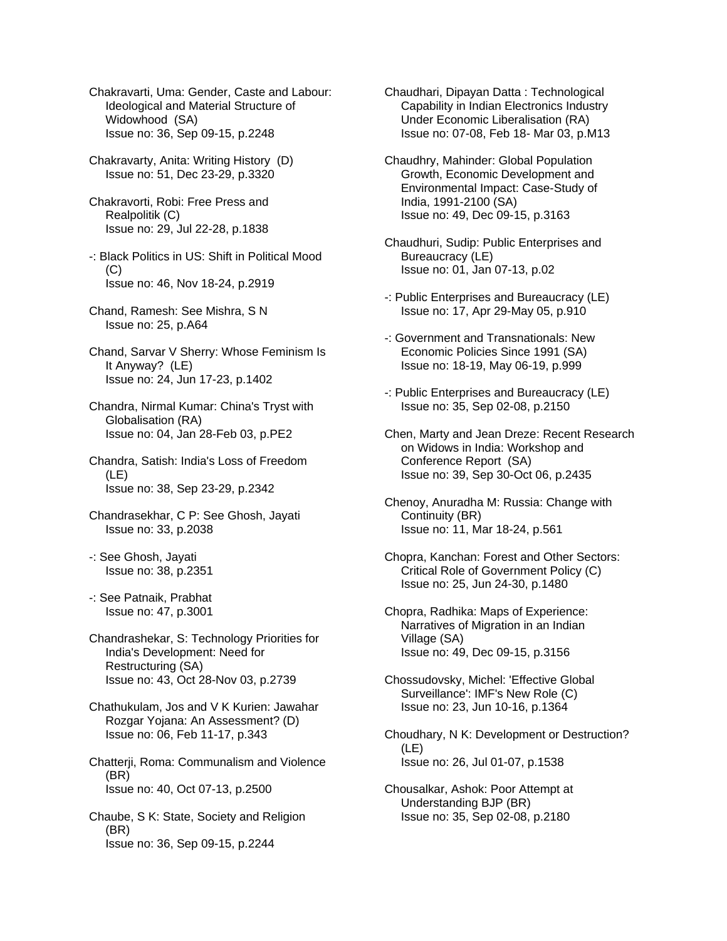- Chakravarti, Uma: Gender, Caste and Labour: Ideological and Material Structure of Widowhood (SA) Issue no: 36, Sep 09-15, p.2248
- Chakravarty, Anita: Writing History (D) Issue no: 51, Dec 23-29, p.3320
- Chakravorti, Robi: Free Press and Realpolitik (C) Issue no: 29, Jul 22-28, p.1838
- -: Black Politics in US: Shift in Political Mood  $(C)$ Issue no: 46, Nov 18-24, p.2919
- Chand, Ramesh: See Mishra, S N Issue no: 25, p.A64
- Chand, Sarvar V Sherry: Whose Feminism Is It Anyway? (LE) Issue no: 24, Jun 17-23, p.1402
- Chandra, Nirmal Kumar: China's Tryst with Globalisation (RA) Issue no: 04, Jan 28-Feb 03, p.PE2
- Chandra, Satish: India's Loss of Freedom (LE) Issue no: 38, Sep 23-29, p.2342
- Chandrasekhar, C P: See Ghosh, Jayati Issue no: 33, p.2038
- -: See Ghosh, Jayati Issue no: 38, p.2351
- -: See Patnaik, Prabhat Issue no: 47, p.3001
- Chandrashekar, S: Technology Priorities for India's Development: Need for Restructuring (SA) Issue no: 43, Oct 28-Nov 03, p.2739
- Chathukulam, Jos and V K Kurien: Jawahar Rozgar Yojana: An Assessment? (D) Issue no: 06, Feb 11-17, p.343
- Chatterji, Roma: Communalism and Violence (BR) Issue no: 40, Oct 07-13, p.2500
- Chaube, S K: State, Society and Religion (BR) Issue no: 36, Sep 09-15, p.2244
- Chaudhari, Dipayan Datta : Technological Capability in Indian Electronics Industry Under Economic Liberalisation (RA) Issue no: 07-08, Feb 18- Mar 03, p.M13
- Chaudhry, Mahinder: Global Population Growth, Economic Development and Environmental Impact: Case-Study of India, 1991-2100 (SA) Issue no: 49, Dec 09-15, p.3163
- Chaudhuri, Sudip: Public Enterprises and Bureaucracy (LE) Issue no: 01, Jan 07-13, p.02
- -: Public Enterprises and Bureaucracy (LE) Issue no: 17, Apr 29-May 05, p.910
- -: Government and Transnationals: New Economic Policies Since 1991 (SA) Issue no: 18-19, May 06-19, p.999
- -: Public Enterprises and Bureaucracy (LE) Issue no: 35, Sep 02-08, p.2150
- Chen, Marty and Jean Dreze: Recent Research on Widows in India: Workshop and Conference Report (SA) Issue no: 39, Sep 30-Oct 06, p.2435
- Chenoy, Anuradha M: Russia: Change with Continuity (BR) Issue no: 11, Mar 18-24, p.561
- Chopra, Kanchan: Forest and Other Sectors: Critical Role of Government Policy (C) Issue no: 25, Jun 24-30, p.1480
- Chopra, Radhika: Maps of Experience: Narratives of Migration in an Indian Village (SA) Issue no: 49, Dec 09-15, p.3156
- Chossudovsky, Michel: 'Effective Global Surveillance': IMF's New Role (C) Issue no: 23, Jun 10-16, p.1364
- Choudhary, N K: Development or Destruction? (LE) Issue no: 26, Jul 01-07, p.1538
- Chousalkar, Ashok: Poor Attempt at Understanding BJP (BR) Issue no: 35, Sep 02-08, p.2180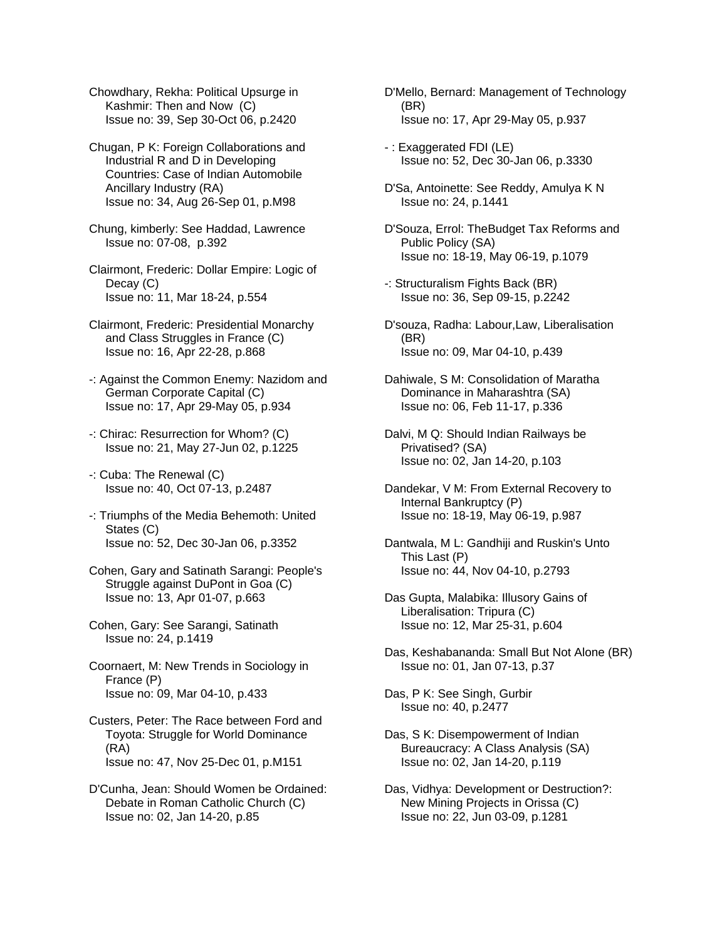Chowdhary, Rekha: Political Upsurge in Kashmir: Then and Now (C) Issue no: 39, Sep 30-Oct 06, p.2420

Chugan, P K: Foreign Collaborations and Industrial R and D in Developing Countries: Case of Indian Automobile Ancillary Industry (RA) Issue no: 34, Aug 26-Sep 01, p.M98

Chung, kimberly: See Haddad, Lawrence Issue no: 07-08, p.392

Clairmont, Frederic: Dollar Empire: Logic of Decay (C) Issue no: 11, Mar 18-24, p.554

- Clairmont, Frederic: Presidential Monarchy and Class Struggles in France (C) Issue no: 16, Apr 22-28, p.868
- -: Against the Common Enemy: Nazidom and German Corporate Capital (C) Issue no: 17, Apr 29-May 05, p.934
- -: Chirac: Resurrection for Whom? (C) Issue no: 21, May 27-Jun 02, p.1225

-: Cuba: The Renewal (C) Issue no: 40, Oct 07-13, p.2487

- -: Triumphs of the Media Behemoth: United States (C) Issue no: 52, Dec 30-Jan 06, p.3352
- Cohen, Gary and Satinath Sarangi: People's Struggle against DuPont in Goa (C) Issue no: 13, Apr 01-07, p.663
- Cohen, Gary: See Sarangi, Satinath Issue no: 24, p.1419
- Coornaert, M: New Trends in Sociology in France (P) Issue no: 09, Mar 04-10, p.433
- Custers, Peter: The Race between Ford and Toyota: Struggle for World Dominance (RA) Issue no: 47, Nov 25-Dec 01, p.M151
- D'Cunha, Jean: Should Women be Ordained: Debate in Roman Catholic Church (C) Issue no: 02, Jan 14-20, p.85
- D'Mello, Bernard: Management of Technology (BR) Issue no: 17, Apr 29-May 05, p.937
- : Exaggerated FDI (LE) Issue no: 52, Dec 30-Jan 06, p.3330
- D'Sa, Antoinette: See Reddy, Amulya K N Issue no: 24, p.1441
- D'Souza, Errol: TheBudget Tax Reforms and Public Policy (SA) Issue no: 18-19, May 06-19, p.1079
- -: Structuralism Fights Back (BR) Issue no: 36, Sep 09-15, p.2242
- D'souza, Radha: Labour,Law, Liberalisation (BR) Issue no: 09, Mar 04-10, p.439
- Dahiwale, S M: Consolidation of Maratha Dominance in Maharashtra (SA) Issue no: 06, Feb 11-17, p.336
- Dalvi, M Q: Should Indian Railways be Privatised? (SA) Issue no: 02, Jan 14-20, p.103
- Dandekar, V M: From External Recovery to Internal Bankruptcy (P) Issue no: 18-19, May 06-19, p.987
- Dantwala, M L: Gandhiji and Ruskin's Unto This Last (P) Issue no: 44, Nov 04-10, p.2793
- Das Gupta, Malabika: Illusory Gains of Liberalisation: Tripura (C) Issue no: 12, Mar 25-31, p.604
- Das, Keshabananda: Small But Not Alone (BR) Issue no: 01, Jan 07-13, p.37

Das, P K: See Singh, Gurbir Issue no: 40, p.2477

- Das, S K: Disempowerment of Indian Bureaucracy: A Class Analysis (SA) Issue no: 02, Jan 14-20, p.119
- Das, Vidhya: Development or Destruction?: New Mining Projects in Orissa (C) Issue no: 22, Jun 03-09, p.1281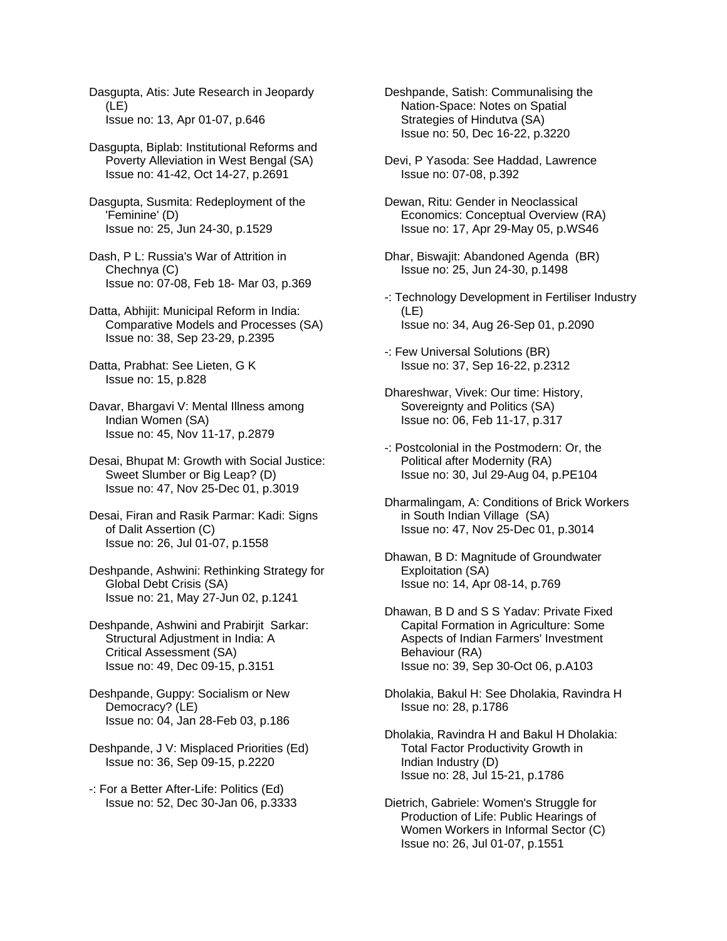Dasgupta, Atis: Jute Research in Jeopardy (LE) Issue no: 13, Apr 01-07, p.646

Dasgupta, Biplab: Institutional Reforms and Poverty Alleviation in West Bengal (SA) Issue no: 41-42, Oct 14-27, p.2691

- Dasgupta, Susmita: Redeployment of the 'Feminine' (D) Issue no: 25, Jun 24-30, p.1529
- Dash, P L: Russia's War of Attrition in Chechnya (C) Issue no: 07-08, Feb 18- Mar 03, p.369
- Datta, Abhijit: Municipal Reform in India: Comparative Models and Processes (SA) Issue no: 38, Sep 23-29, p.2395
- Datta, Prabhat: See Lieten, G K Issue no: 15, p.828
- Davar, Bhargavi V: Mental Illness among Indian Women (SA) Issue no: 45, Nov 11-17, p.2879
- Desai, Bhupat M: Growth with Social Justice: Sweet Slumber or Big Leap? (D) Issue no: 47, Nov 25-Dec 01, p.3019
- Desai, Firan and Rasik Parmar: Kadi: Signs of Dalit Assertion (C) Issue no: 26, Jul 01-07, p.1558
- Deshpande, Ashwini: Rethinking Strategy for Global Debt Crisis (SA) Issue no: 21, May 27-Jun 02, p.1241
- Deshpande, Ashwini and Prabirjit Sarkar: Structural Adjustment in India: A Critical Assessment (SA) Issue no: 49, Dec 09-15, p.3151
- Deshpande, Guppy: Socialism or New Democracy? (LE) Issue no: 04, Jan 28-Feb 03, p.186
- Deshpande, J V: Misplaced Priorities (Ed) Issue no: 36, Sep 09-15, p.2220
- -: For a Better After-Life: Politics (Ed) Issue no: 52, Dec 30-Jan 06, p.3333
- Deshpande, Satish: Communalising the Nation-Space: Notes on Spatial Strategies of Hindutva (SA) Issue no: 50, Dec 16-22, p.3220
- Devi, P Yasoda: See Haddad, Lawrence Issue no: 07-08, p.392
- Dewan, Ritu: Gender in Neoclassical Economics: Conceptual Overview (RA) Issue no: 17, Apr 29-May 05, p.WS46
- Dhar, Biswajit: Abandoned Agenda (BR) Issue no: 25, Jun 24-30, p.1498
- -: Technology Development in Fertiliser Industry (LE) Issue no: 34, Aug 26-Sep 01, p.2090
- -: Few Universal Solutions (BR) Issue no: 37, Sep 16-22, p.2312
- Dhareshwar, Vivek: Our time: History, Sovereignty and Politics (SA) Issue no: 06, Feb 11-17, p.317
- -: Postcolonial in the Postmodern: Or, the Political after Modernity (RA) Issue no: 30, Jul 29-Aug 04, p.PE104
- Dharmalingam, A: Conditions of Brick Workers in South Indian Village (SA) Issue no: 47, Nov 25-Dec 01, p.3014
- Dhawan, B D: Magnitude of Groundwater Exploitation (SA) Issue no: 14, Apr 08-14, p.769
- Dhawan, B D and S S Yadav: Private Fixed Capital Formation in Agriculture: Some Aspects of Indian Farmers' Investment Behaviour (RA) Issue no: 39, Sep 30-Oct 06, p.A103
- Dholakia, Bakul H: See Dholakia, Ravindra H Issue no: 28, p.1786
- Dholakia, Ravindra H and Bakul H Dholakia: Total Factor Productivity Growth in Indian Industry (D) Issue no: 28, Jul 15-21, p.1786
- Dietrich, Gabriele: Women's Struggle for Production of Life: Public Hearings of Women Workers in Informal Sector (C) Issue no: 26, Jul 01-07, p.1551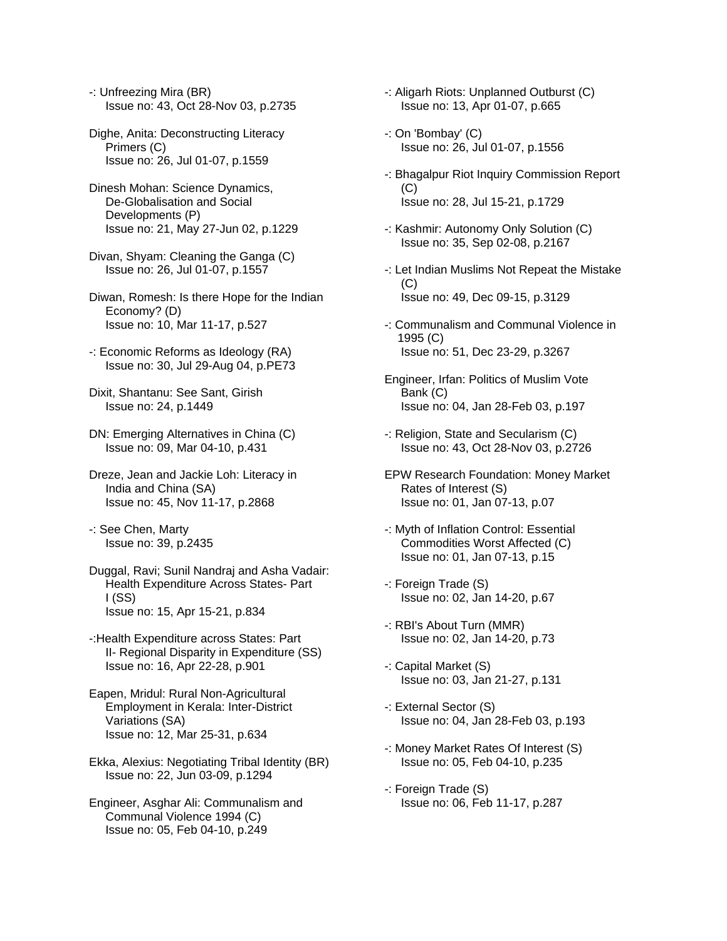- -: Unfreezing Mira (BR) Issue no: 43, Oct 28-Nov 03, p.2735
- Dighe, Anita: Deconstructing Literacy Primers (C) Issue no: 26, Jul 01-07, p.1559
- Dinesh Mohan: Science Dynamics, De-Globalisation and Social Developments (P) Issue no: 21, May 27-Jun 02, p.1229
- Divan, Shyam: Cleaning the Ganga (C) Issue no: 26, Jul 01-07, p.1557
- Diwan, Romesh: Is there Hope for the Indian Economy? (D) Issue no: 10, Mar 11-17, p.527
- -: Economic Reforms as Ideology (RA) Issue no: 30, Jul 29-Aug 04, p.PE73
- Dixit, Shantanu: See Sant, Girish Issue no: 24, p.1449
- DN: Emerging Alternatives in China (C) Issue no: 09, Mar 04-10, p.431
- Dreze, Jean and Jackie Loh: Literacy in India and China (SA) Issue no: 45, Nov 11-17, p.2868
- -: See Chen, Marty Issue no: 39, p.2435
- Duggal, Ravi; Sunil Nandraj and Asha Vadair: Health Expenditure Across States- Part I (SS) Issue no: 15, Apr 15-21, p.834
- -:Health Expenditure across States: Part II- Regional Disparity in Expenditure (SS) Issue no: 16, Apr 22-28, p.901
- Eapen, Mridul: Rural Non-Agricultural Employment in Kerala: Inter-District Variations (SA) Issue no: 12, Mar 25-31, p.634
- Ekka, Alexius: Negotiating Tribal Identity (BR) Issue no: 22, Jun 03-09, p.1294
- Engineer, Asghar Ali: Communalism and Communal Violence 1994 (C) Issue no: 05, Feb 04-10, p.249
- -: Aligarh Riots: Unplanned Outburst (C) Issue no: 13, Apr 01-07, p.665
- -: On 'Bombay' (C) Issue no: 26, Jul 01-07, p.1556
- -: Bhagalpur Riot Inquiry Commission Report (C) Issue no: 28, Jul 15-21, p.1729
- -: Kashmir: Autonomy Only Solution (C) Issue no: 35, Sep 02-08, p.2167
- -: Let Indian Muslims Not Repeat the Mistake  $(C)$ Issue no: 49, Dec 09-15, p.3129
- -: Communalism and Communal Violence in 1995 (C) Issue no: 51, Dec 23-29, p.3267
- Engineer, Irfan: Politics of Muslim Vote Bank (C) Issue no: 04, Jan 28-Feb 03, p.197
- -: Religion, State and Secularism (C) Issue no: 43, Oct 28-Nov 03, p.2726
- EPW Research Foundation: Money Market Rates of Interest (S) Issue no: 01, Jan 07-13, p.07
- -: Myth of Inflation Control: Essential Commodities Worst Affected (C) Issue no: 01, Jan 07-13, p.15
- -: Foreign Trade (S) Issue no: 02, Jan 14-20, p.67
- -: RBI's About Turn (MMR) Issue no: 02, Jan 14-20, p.73
- -: Capital Market (S) Issue no: 03, Jan 21-27, p.131
- -: External Sector (S) Issue no: 04, Jan 28-Feb 03, p.193
- -: Money Market Rates Of Interest (S) Issue no: 05, Feb 04-10, p.235
- -: Foreign Trade (S) Issue no: 06, Feb 11-17, p.287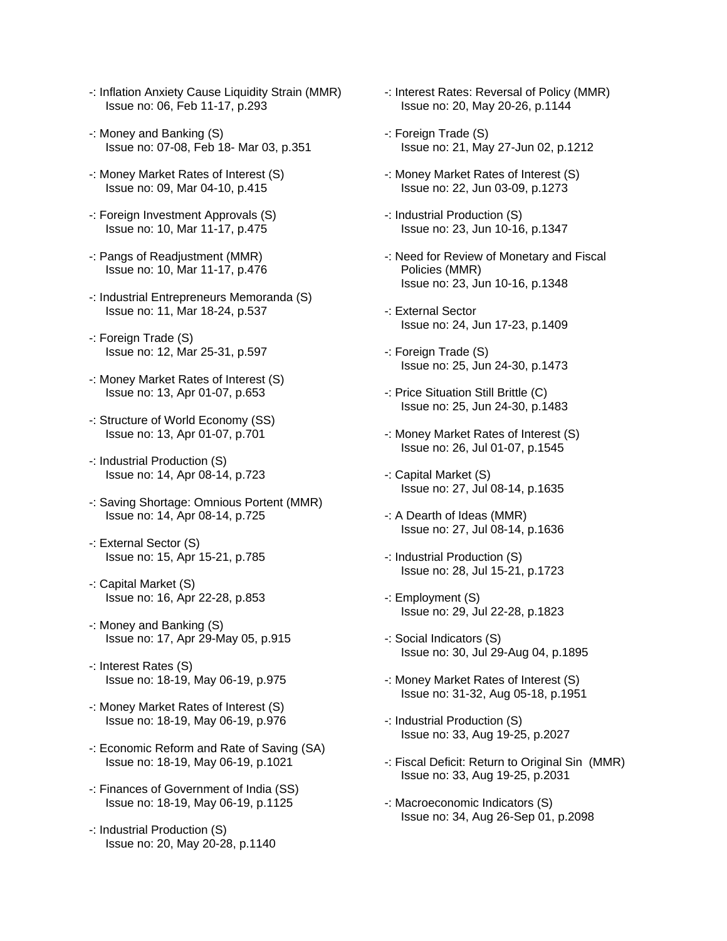- -: Inflation Anxiety Cause Liquidity Strain (MMR) Issue no: 06, Feb 11-17, p.293
- -: Money and Banking (S) Issue no: 07-08, Feb 18- Mar 03, p.351
- -: Money Market Rates of Interest (S) Issue no: 09, Mar 04-10, p.415
- -: Foreign Investment Approvals (S) Issue no: 10, Mar 11-17, p.475
- -: Pangs of Readjustment (MMR) Issue no: 10, Mar 11-17, p.476
- -: Industrial Entrepreneurs Memoranda (S) Issue no: 11, Mar 18-24, p.537
- -: Foreign Trade (S) Issue no: 12, Mar 25-31, p.597
- -: Money Market Rates of Interest (S) Issue no: 13, Apr 01-07, p.653
- -: Structure of World Economy (SS) Issue no: 13, Apr 01-07, p.701
- -: Industrial Production (S) Issue no: 14, Apr 08-14, p.723
- -: Saving Shortage: Omnious Portent (MMR) Issue no: 14, Apr 08-14, p.725
- -: External Sector (S) Issue no: 15, Apr 15-21, p.785
- -: Capital Market (S) Issue no: 16, Apr 22-28, p.853
- -: Money and Banking (S) Issue no: 17, Apr 29-May 05, p.915
- -: Interest Rates (S) Issue no: 18-19, May 06-19, p.975
- -: Money Market Rates of Interest (S) Issue no: 18-19, May 06-19, p.976
- -: Economic Reform and Rate of Saving (SA) Issue no: 18-19, May 06-19, p.1021
- -: Finances of Government of India (SS) Issue no: 18-19, May 06-19, p.1125
- -: Industrial Production (S) Issue no: 20, May 20-28, p.1140
- -: Interest Rates: Reversal of Policy (MMR) Issue no: 20, May 20-26, p.1144
- -: Foreign Trade (S) Issue no: 21, May 27-Jun 02, p.1212
- -: Money Market Rates of Interest (S) Issue no: 22, Jun 03-09, p.1273
- -: Industrial Production (S) Issue no: 23, Jun 10-16, p.1347
- -: Need for Review of Monetary and Fiscal Policies (MMR) Issue no: 23, Jun 10-16, p.1348
- -: External Sector Issue no: 24, Jun 17-23, p.1409
- -: Foreign Trade (S) Issue no: 25, Jun 24-30, p.1473
- -: Price Situation Still Brittle (C) Issue no: 25, Jun 24-30, p.1483
- -: Money Market Rates of Interest (S) Issue no: 26, Jul 01-07, p.1545
- -: Capital Market (S) Issue no: 27, Jul 08-14, p.1635
- -: A Dearth of Ideas (MMR) Issue no: 27, Jul 08-14, p.1636
- -: Industrial Production (S) Issue no: 28, Jul 15-21, p.1723
- -: Employment (S) Issue no: 29, Jul 22-28, p.1823
- -: Social Indicators (S) Issue no: 30, Jul 29-Aug 04, p.1895
- -: Money Market Rates of Interest (S) Issue no: 31-32, Aug 05-18, p.1951
- -: Industrial Production (S) Issue no: 33, Aug 19-25, p.2027
- -: Fiscal Deficit: Return to Original Sin (MMR) Issue no: 33, Aug 19-25, p.2031
- -: Macroeconomic Indicators (S) Issue no: 34, Aug 26-Sep 01, p.2098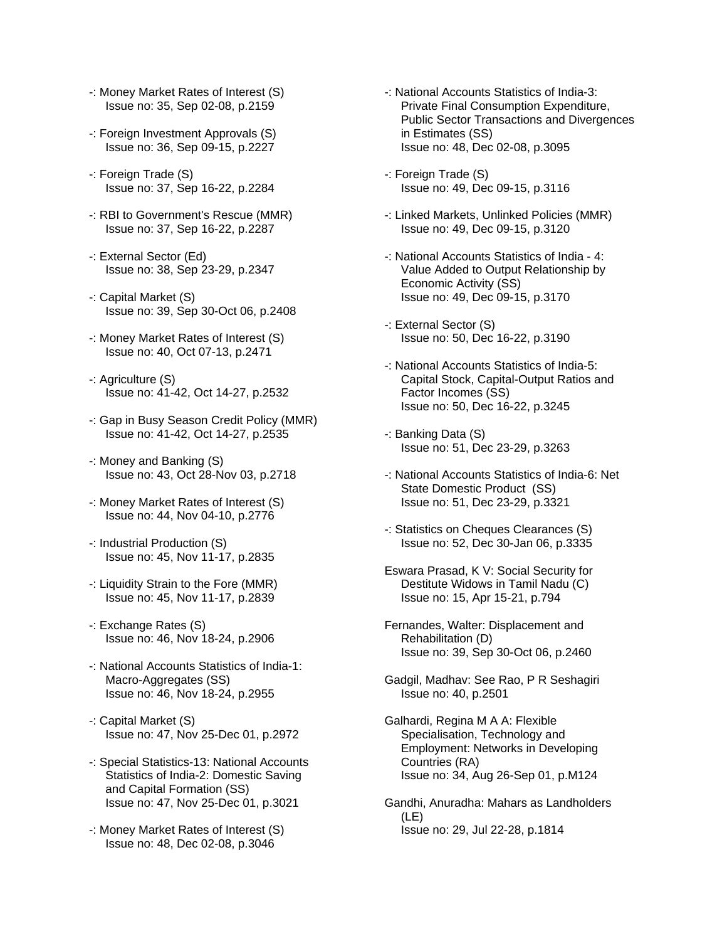- -: Money Market Rates of Interest (S) Issue no: 35, Sep 02-08, p.2159
- -: Foreign Investment Approvals (S) Issue no: 36, Sep 09-15, p.2227
- -: Foreign Trade (S) Issue no: 37, Sep 16-22, p.2284
- -: RBI to Government's Rescue (MMR) Issue no: 37, Sep 16-22, p.2287
- -: External Sector (Ed) Issue no: 38, Sep 23-29, p.2347
- -: Capital Market (S) Issue no: 39, Sep 30-Oct 06, p.2408
- -: Money Market Rates of Interest (S) Issue no: 40, Oct 07-13, p.2471
- -: Agriculture (S) Issue no: 41-42, Oct 14-27, p.2532
- -: Gap in Busy Season Credit Policy (MMR) Issue no: 41-42, Oct 14-27, p.2535
- -: Money and Banking (S) Issue no: 43, Oct 28-Nov 03, p.2718
- -: Money Market Rates of Interest (S) Issue no: 44, Nov 04-10, p.2776
- -: Industrial Production (S) Issue no: 45, Nov 11-17, p.2835
- -: Liquidity Strain to the Fore (MMR) Issue no: 45, Nov 11-17, p.2839
- -: Exchange Rates (S) Issue no: 46, Nov 18-24, p.2906
- -: National Accounts Statistics of India-1: Macro-Aggregates (SS) Issue no: 46, Nov 18-24, p.2955
- -: Capital Market (S) Issue no: 47, Nov 25-Dec 01, p.2972
- -: Special Statistics-13: National Accounts Statistics of India-2: Domestic Saving and Capital Formation (SS) Issue no: 47, Nov 25-Dec 01, p.3021
- -: Money Market Rates of Interest (S) Issue no: 48, Dec 02-08, p.3046
- -: National Accounts Statistics of India-3: Private Final Consumption Expenditure, Public Sector Transactions and Divergences in Estimates (SS) Issue no: 48, Dec 02-08, p.3095
- -: Foreign Trade (S) Issue no: 49, Dec 09-15, p.3116
- -: Linked Markets, Unlinked Policies (MMR) Issue no: 49, Dec 09-15, p.3120
- -: National Accounts Statistics of India 4: Value Added to Output Relationship by Economic Activity (SS) Issue no: 49, Dec 09-15, p.3170
- -: External Sector (S) Issue no: 50, Dec 16-22, p.3190
- -: National Accounts Statistics of India-5: Capital Stock, Capital-Output Ratios and Factor Incomes (SS) Issue no: 50, Dec 16-22, p.3245
- -: Banking Data (S) Issue no: 51, Dec 23-29, p.3263
- -: National Accounts Statistics of India-6: Net State Domestic Product (SS) Issue no: 51, Dec 23-29, p.3321
- -: Statistics on Cheques Clearances (S) Issue no: 52, Dec 30-Jan 06, p.3335
- Eswara Prasad, K V: Social Security for Destitute Widows in Tamil Nadu (C) Issue no: 15, Apr 15-21, p.794
- Fernandes, Walter: Displacement and Rehabilitation (D) Issue no: 39, Sep 30-Oct 06, p.2460
- Gadgil, Madhav: See Rao, P R Seshagiri Issue no: 40, p.2501
- Galhardi, Regina M A A: Flexible Specialisation, Technology and Employment: Networks in Developing Countries (RA) Issue no: 34, Aug 26-Sep 01, p.M124
- Gandhi, Anuradha: Mahars as Landholders (LE) Issue no: 29, Jul 22-28, p.1814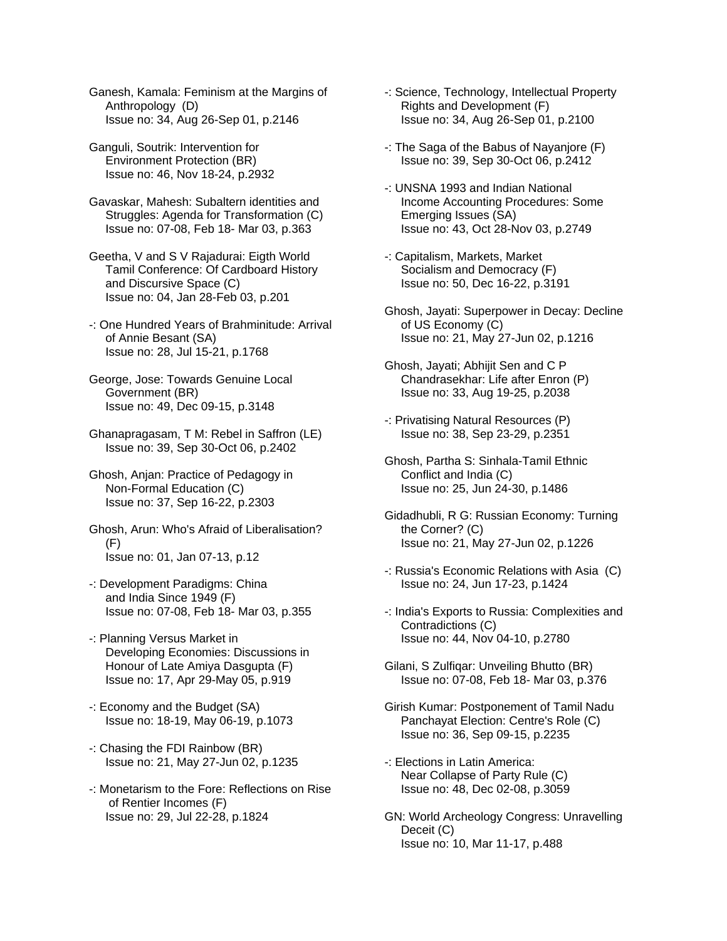Ganesh, Kamala: Feminism at the Margins of Anthropology (D) Issue no: 34, Aug 26-Sep 01, p.2146

Ganguli, Soutrik: Intervention for Environment Protection (BR) Issue no: 46, Nov 18-24, p.2932

Gavaskar, Mahesh: Subaltern identities and Struggles: Agenda for Transformation (C) Issue no: 07-08, Feb 18- Mar 03, p.363

Geetha, V and S V Rajadurai: Eigth World Tamil Conference: Of Cardboard History and Discursive Space (C) Issue no: 04, Jan 28-Feb 03, p.201

-: One Hundred Years of Brahminitude: Arrival of Annie Besant (SA) Issue no: 28, Jul 15-21, p.1768

George, Jose: Towards Genuine Local Government (BR) Issue no: 49, Dec 09-15, p.3148

Ghanapragasam, T M: Rebel in Saffron (LE) Issue no: 39, Sep 30-Oct 06, p.2402

Ghosh, Anjan: Practice of Pedagogy in Non-Formal Education (C) Issue no: 37, Sep 16-22, p.2303

Ghosh, Arun: Who's Afraid of Liberalisation? (F) Issue no: 01, Jan 07-13, p.12

-: Development Paradigms: China and India Since 1949 (F) Issue no: 07-08, Feb 18- Mar 03, p.355

-: Planning Versus Market in Developing Economies: Discussions in Honour of Late Amiya Dasgupta (F) Issue no: 17, Apr 29-May 05, p.919

-: Economy and the Budget (SA) Issue no: 18-19, May 06-19, p.1073

-: Chasing the FDI Rainbow (BR) Issue no: 21, May 27-Jun 02, p.1235

-: Monetarism to the Fore: Reflections on Rise of Rentier Incomes (F) Issue no: 29, Jul 22-28, p.1824

-: Science, Technology, Intellectual Property Rights and Development (F) Issue no: 34, Aug 26-Sep 01, p.2100

-: The Saga of the Babus of Nayanjore (F) Issue no: 39, Sep 30-Oct 06, p.2412

-: UNSNA 1993 and Indian National Income Accounting Procedures: Some Emerging Issues (SA) Issue no: 43, Oct 28-Nov 03, p.2749

-: Capitalism, Markets, Market Socialism and Democracy (F) Issue no: 50, Dec 16-22, p.3191

Ghosh, Jayati: Superpower in Decay: Decline of US Economy (C) Issue no: 21, May 27-Jun 02, p.1216

Ghosh, Jayati; Abhijit Sen and C P Chandrasekhar: Life after Enron (P) Issue no: 33, Aug 19-25, p.2038

-: Privatising Natural Resources (P) Issue no: 38, Sep 23-29, p.2351

Ghosh, Partha S: Sinhala-Tamil Ethnic Conflict and India (C) Issue no: 25, Jun 24-30, p.1486

Gidadhubli, R G: Russian Economy: Turning the Corner? (C) Issue no: 21, May 27-Jun 02, p.1226

-: Russia's Economic Relations with Asia (C) Issue no: 24, Jun 17-23, p.1424

-: India's Exports to Russia: Complexities and Contradictions (C) Issue no: 44, Nov 04-10, p.2780

Gilani, S Zulfiqar: Unveiling Bhutto (BR) Issue no: 07-08, Feb 18- Mar 03, p.376

Girish Kumar: Postponement of Tamil Nadu Panchayat Election: Centre's Role (C) Issue no: 36, Sep 09-15, p.2235

-: Elections in Latin America: Near Collapse of Party Rule (C) Issue no: 48, Dec 02-08, p.3059

GN: World Archeology Congress: Unravelling Deceit (C) Issue no: 10, Mar 11-17, p.488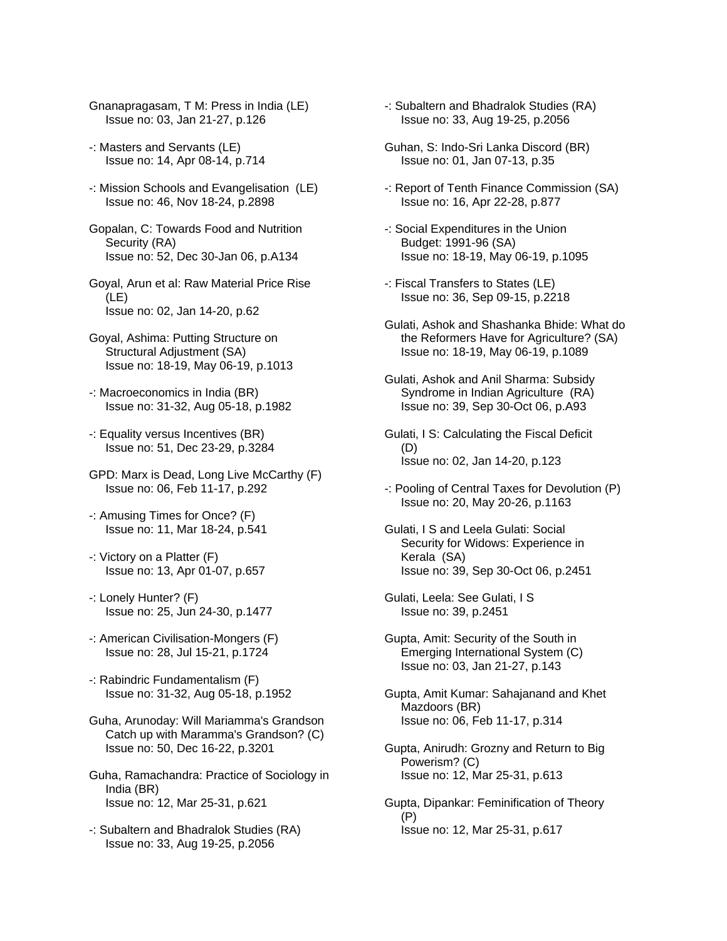- Gnanapragasam, T M: Press in India (LE) Issue no: 03, Jan 21-27, p.126
- -: Masters and Servants (LE) Issue no: 14, Apr 08-14, p.714
- -: Mission Schools and Evangelisation (LE) Issue no: 46, Nov 18-24, p.2898
- Gopalan, C: Towards Food and Nutrition Security (RA) Issue no: 52, Dec 30-Jan 06, p.A134
- Goyal, Arun et al: Raw Material Price Rise (LE) Issue no: 02, Jan 14-20, p.62
- Goyal, Ashima: Putting Structure on Structural Adjustment (SA) Issue no: 18-19, May 06-19, p.1013
- -: Macroeconomics in India (BR) Issue no: 31-32, Aug 05-18, p.1982
- -: Equality versus Incentives (BR) Issue no: 51, Dec 23-29, p.3284
- GPD: Marx is Dead, Long Live McCarthy (F) Issue no: 06, Feb 11-17, p.292
- -: Amusing Times for Once? (F) Issue no: 11, Mar 18-24, p.541
- -: Victory on a Platter (F) Issue no: 13, Apr 01-07, p.657
- -: Lonely Hunter? (F) Issue no: 25, Jun 24-30, p.1477
- -: American Civilisation-Mongers (F) Issue no: 28, Jul 15-21, p.1724
- -: Rabindric Fundamentalism (F) Issue no: 31-32, Aug 05-18, p.1952
- Guha, Arunoday: Will Mariamma's Grandson Catch up with Maramma's Grandson? (C) Issue no: 50, Dec 16-22, p.3201
- Guha, Ramachandra: Practice of Sociology in India (BR) Issue no: 12, Mar 25-31, p.621
- -: Subaltern and Bhadralok Studies (RA) Issue no: 33, Aug 19-25, p.2056
- -: Subaltern and Bhadralok Studies (RA) Issue no: 33, Aug 19-25, p.2056
- Guhan, S: Indo-Sri Lanka Discord (BR) Issue no: 01, Jan 07-13, p.35
- -: Report of Tenth Finance Commission (SA) Issue no: 16, Apr 22-28, p.877
- -: Social Expenditures in the Union Budget: 1991-96 (SA) Issue no: 18-19, May 06-19, p.1095
- -: Fiscal Transfers to States (LE) Issue no: 36, Sep 09-15, p.2218
- Gulati, Ashok and Shashanka Bhide: What do the Reformers Have for Agriculture? (SA) Issue no: 18-19, May 06-19, p.1089
- Gulati, Ashok and Anil Sharma: Subsidy Syndrome in Indian Agriculture (RA) Issue no: 39, Sep 30-Oct 06, p.A93
- Gulati, I S: Calculating the Fiscal Deficit (D) Issue no: 02, Jan 14-20, p.123
- -: Pooling of Central Taxes for Devolution (P) Issue no: 20, May 20-26, p.1163
- Gulati, I S and Leela Gulati: Social Security for Widows: Experience in Kerala (SA) Issue no: 39, Sep 30-Oct 06, p.2451
- Gulati, Leela: See Gulati, I S Issue no: 39, p.2451
- Gupta, Amit: Security of the South in Emerging International System (C) Issue no: 03, Jan 21-27, p.143
- Gupta, Amit Kumar: Sahajanand and Khet Mazdoors (BR) Issue no: 06, Feb 11-17, p.314
- Gupta, Anirudh: Grozny and Return to Big Powerism? (C) Issue no: 12, Mar 25-31, p.613
- Gupta, Dipankar: Feminification of Theory (P) Issue no: 12, Mar 25-31, p.617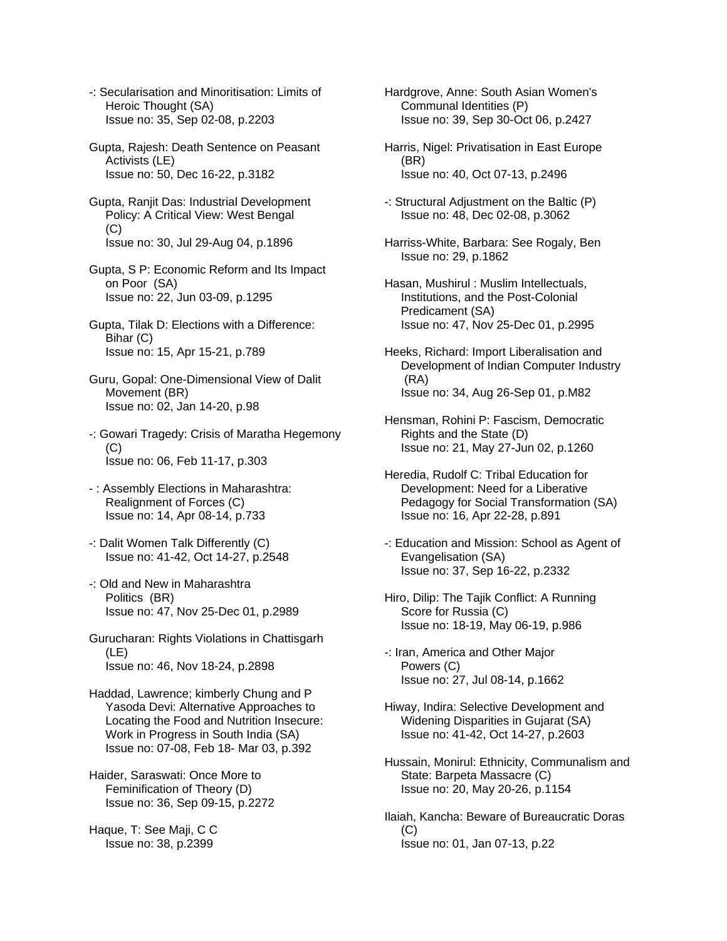- -: Secularisation and Minoritisation: Limits of Heroic Thought (SA) Issue no: 35, Sep 02-08, p.2203
- Gupta, Rajesh: Death Sentence on Peasant Activists (LE) Issue no: 50, Dec 16-22, p.3182
- Gupta, Ranjit Das: Industrial Development Policy: A Critical View: West Bengal (C) Issue no: 30, Jul 29-Aug 04, p.1896
- Gupta, S P: Economic Reform and Its Impact on Poor (SA) Issue no: 22, Jun 03-09, p.1295
- Gupta, Tilak D: Elections with a Difference: Bihar (C) Issue no: 15, Apr 15-21, p.789
- Guru, Gopal: One-Dimensional View of Dalit Movement (BR) Issue no: 02, Jan 14-20, p.98
- -: Gowari Tragedy: Crisis of Maratha Hegemony  $(C)$ Issue no: 06, Feb 11-17, p.303
- : Assembly Elections in Maharashtra: Realignment of Forces (C) Issue no: 14, Apr 08-14, p.733
- -: Dalit Women Talk Differently (C) Issue no: 41-42, Oct 14-27, p.2548
- -: Old and New in Maharashtra Politics (BR) Issue no: 47, Nov 25-Dec 01, p.2989
- Gurucharan: Rights Violations in Chattisgarh (LE) Issue no: 46, Nov 18-24, p.2898
- Haddad, Lawrence; kimberly Chung and P Yasoda Devi: Alternative Approaches to Locating the Food and Nutrition Insecure: Work in Progress in South India (SA) Issue no: 07-08, Feb 18- Mar 03, p.392

Haider, Saraswati: Once More to Feminification of Theory (D) Issue no: 36, Sep 09-15, p.2272

Haque, T: See Maji, C C Issue no: 38, p.2399

- Hardgrove, Anne: South Asian Women's Communal Identities (P) Issue no: 39, Sep 30-Oct 06, p.2427
- Harris, Nigel: Privatisation in East Europe (BR) Issue no: 40, Oct 07-13, p.2496
- -: Structural Adjustment on the Baltic (P) Issue no: 48, Dec 02-08, p.3062
- Harriss-White, Barbara: See Rogaly, Ben Issue no: 29, p.1862
- Hasan, Mushirul : Muslim Intellectuals, Institutions, and the Post-Colonial Predicament (SA) Issue no: 47, Nov 25-Dec 01, p.2995
- Heeks, Richard: Import Liberalisation and Development of Indian Computer Industry (RA) Issue no: 34, Aug 26-Sep 01, p.M82
- Hensman, Rohini P: Fascism, Democratic Rights and the State (D) Issue no: 21, May 27-Jun 02, p.1260
- Heredia, Rudolf C: Tribal Education for Development: Need for a Liberative Pedagogy for Social Transformation (SA) Issue no: 16, Apr 22-28, p.891
- -: Education and Mission: School as Agent of Evangelisation (SA) Issue no: 37, Sep 16-22, p.2332
- Hiro, Dilip: The Tajik Conflict: A Running Score for Russia (C) Issue no: 18-19, May 06-19, p.986
- -: Iran, America and Other Major Powers (C) Issue no: 27, Jul 08-14, p.1662
- Hiway, Indira: Selective Development and Widening Disparities in Gujarat (SA) Issue no: 41-42, Oct 14-27, p.2603
- Hussain, Monirul: Ethnicity, Communalism and State: Barpeta Massacre (C) Issue no: 20, May 20-26, p.1154
- Ilaiah, Kancha: Beware of Bureaucratic Doras  $(C)$ Issue no: 01, Jan 07-13, p.22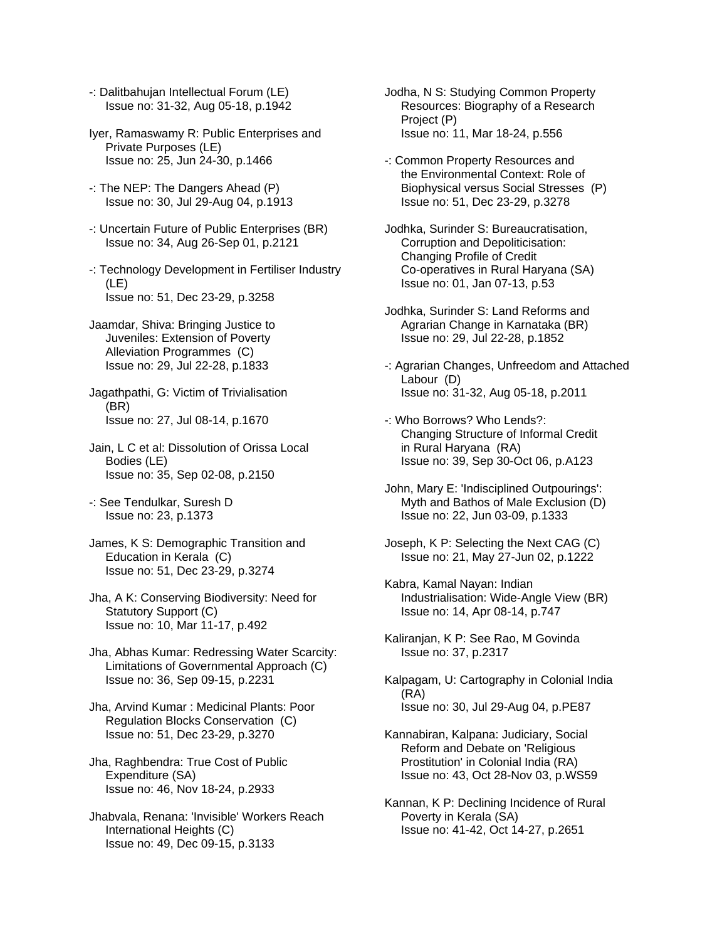- -: Dalitbahujan Intellectual Forum (LE) Issue no: 31-32, Aug 05-18, p.1942
- Iyer, Ramaswamy R: Public Enterprises and Private Purposes (LE) Issue no: 25, Jun 24-30, p.1466
- -: The NEP: The Dangers Ahead (P) Issue no: 30, Jul 29-Aug 04, p.1913
- -: Uncertain Future of Public Enterprises (BR) Issue no: 34, Aug 26-Sep 01, p.2121
- -: Technology Development in Fertiliser Industry (LE) Issue no: 51, Dec 23-29, p.3258
- Jaamdar, Shiva: Bringing Justice to Juveniles: Extension of Poverty Alleviation Programmes (C) Issue no: 29, Jul 22-28, p.1833
- Jagathpathi, G: Victim of Trivialisation (BR) Issue no: 27, Jul 08-14, p.1670
- Jain, L C et al: Dissolution of Orissa Local Bodies (LE) Issue no: 35, Sep 02-08, p.2150
- -: See Tendulkar, Suresh D Issue no: 23, p.1373
- James, K S: Demographic Transition and Education in Kerala (C) Issue no: 51, Dec 23-29, p.3274
- Jha, A K: Conserving Biodiversity: Need for Statutory Support (C) Issue no: 10, Mar 11-17, p.492
- Jha, Abhas Kumar: Redressing Water Scarcity: Limitations of Governmental Approach (C) Issue no: 36, Sep 09-15, p.2231
- Jha, Arvind Kumar : Medicinal Plants: Poor Regulation Blocks Conservation (C) Issue no: 51, Dec 23-29, p.3270
- Jha, Raghbendra: True Cost of Public Expenditure (SA) Issue no: 46, Nov 18-24, p.2933
- Jhabvala, Renana: 'Invisible' Workers Reach International Heights (C) Issue no: 49, Dec 09-15, p.3133
- Jodha, N S: Studying Common Property Resources: Biography of a Research Project (P) Issue no: 11, Mar 18-24, p.556
- -: Common Property Resources and the Environmental Context: Role of Biophysical versus Social Stresses (P) Issue no: 51, Dec 23-29, p.3278
- Jodhka, Surinder S: Bureaucratisation, Corruption and Depoliticisation: Changing Profile of Credit Co-operatives in Rural Haryana (SA) Issue no: 01, Jan 07-13, p.53
- Jodhka, Surinder S: Land Reforms and Agrarian Change in Karnataka (BR) Issue no: 29, Jul 22-28, p.1852
- -: Agrarian Changes, Unfreedom and Attached Labour (D) Issue no: 31-32, Aug 05-18, p.2011
- -: Who Borrows? Who Lends?: Changing Structure of Informal Credit in Rural Haryana (RA) Issue no: 39, Sep 30-Oct 06, p.A123
- John, Mary E: 'Indisciplined Outpourings': Myth and Bathos of Male Exclusion (D) Issue no: 22, Jun 03-09, p.1333
- Joseph, K P: Selecting the Next CAG (C) Issue no: 21, May 27-Jun 02, p.1222
- Kabra, Kamal Nayan: Indian Industrialisation: Wide-Angle View (BR) Issue no: 14, Apr 08-14, p.747
- Kaliranjan, K P: See Rao, M Govinda Issue no: 37, p.2317
- Kalpagam, U: Cartography in Colonial India (RA) Issue no: 30, Jul 29-Aug 04, p.PE87
- Kannabiran, Kalpana: Judiciary, Social Reform and Debate on 'Religious Prostitution' in Colonial India (RA) Issue no: 43, Oct 28-Nov 03, p.WS59
- Kannan, K P: Declining Incidence of Rural Poverty in Kerala (SA) Issue no: 41-42, Oct 14-27, p.2651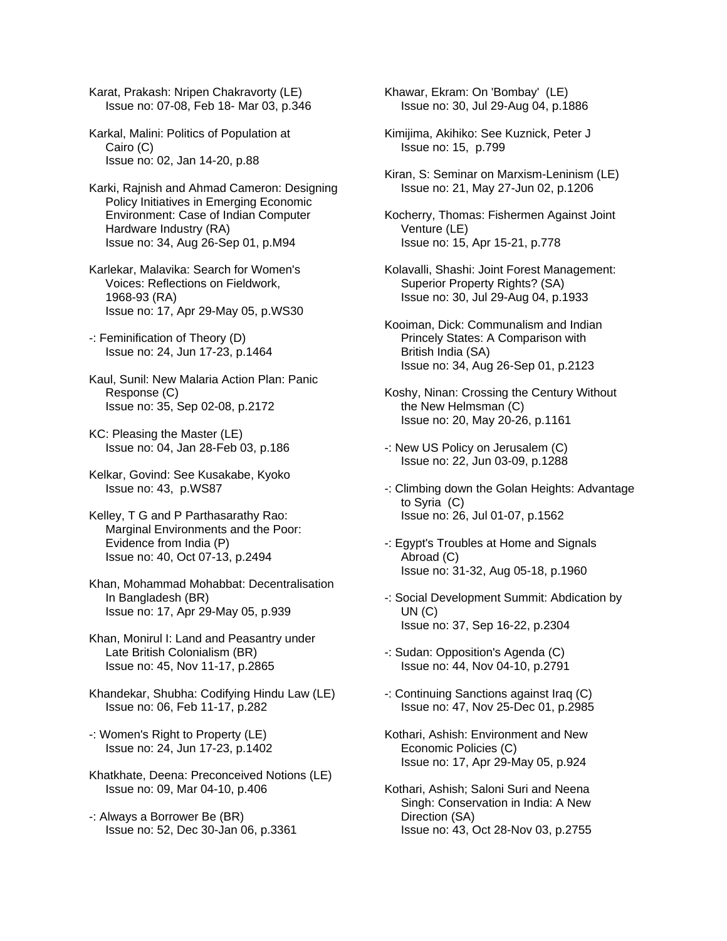Karat, Prakash: Nripen Chakravorty (LE) Issue no: 07-08, Feb 18- Mar 03, p.346

Karkal, Malini: Politics of Population at Cairo (C) Issue no: 02, Jan 14-20, p.88

Karki, Rajnish and Ahmad Cameron: Designing Policy Initiatives in Emerging Economic Environment: Case of Indian Computer Hardware Industry (RA) Issue no: 34, Aug 26-Sep 01, p.M94

Karlekar, Malavika: Search for Women's Voices: Reflections on Fieldwork, 1968-93 (RA) Issue no: 17, Apr 29-May 05, p.WS30

-: Feminification of Theory (D) Issue no: 24, Jun 17-23, p.1464

Kaul, Sunil: New Malaria Action Plan: Panic Response (C) Issue no: 35, Sep 02-08, p.2172

KC: Pleasing the Master (LE) Issue no: 04, Jan 28-Feb 03, p.186

Kelkar, Govind: See Kusakabe, Kyoko Issue no: 43, p.WS87

Kelley, T G and P Parthasarathy Rao: Marginal Environments and the Poor: Evidence from India (P) Issue no: 40, Oct 07-13, p.2494

Khan, Mohammad Mohabbat: Decentralisation In Bangladesh (BR) Issue no: 17, Apr 29-May 05, p.939

Khan, Monirul I: Land and Peasantry under Late British Colonialism (BR) Issue no: 45, Nov 11-17, p.2865

Khandekar, Shubha: Codifying Hindu Law (LE) Issue no: 06, Feb 11-17, p.282

-: Women's Right to Property (LE) Issue no: 24, Jun 17-23, p.1402

Khatkhate, Deena: Preconceived Notions (LE) Issue no: 09, Mar 04-10, p.406

-: Always a Borrower Be (BR) Issue no: 52, Dec 30-Jan 06, p.3361 Khawar, Ekram: On 'Bombay' (LE) Issue no: 30, Jul 29-Aug 04, p.1886

Kimijima, Akihiko: See Kuznick, Peter J Issue no: 15, p.799

Kiran, S: Seminar on Marxism-Leninism (LE) Issue no: 21, May 27-Jun 02, p.1206

Kocherry, Thomas: Fishermen Against Joint Venture (LE) Issue no: 15, Apr 15-21, p.778

Kolavalli, Shashi: Joint Forest Management: Superior Property Rights? (SA) Issue no: 30, Jul 29-Aug 04, p.1933

Kooiman, Dick: Communalism and Indian Princely States: A Comparison with British India (SA) Issue no: 34, Aug 26-Sep 01, p.2123

Koshy, Ninan: Crossing the Century Without the New Helmsman (C) Issue no: 20, May 20-26, p.1161

-: New US Policy on Jerusalem (C) Issue no: 22, Jun 03-09, p.1288

-: Climbing down the Golan Heights: Advantage to Syria (C) Issue no: 26, Jul 01-07, p.1562

-: Egypt's Troubles at Home and Signals Abroad (C) Issue no: 31-32, Aug 05-18, p.1960

-: Social Development Summit: Abdication by UN (C) Issue no: 37, Sep 16-22, p.2304

-: Sudan: Opposition's Agenda (C) Issue no: 44, Nov 04-10, p.2791

-: Continuing Sanctions against Iraq (C) Issue no: 47, Nov 25-Dec 01, p.2985

Kothari, Ashish: Environment and New Economic Policies (C) Issue no: 17, Apr 29-May 05, p.924

Kothari, Ashish; Saloni Suri and Neena Singh: Conservation in India: A New Direction (SA) Issue no: 43, Oct 28-Nov 03, p.2755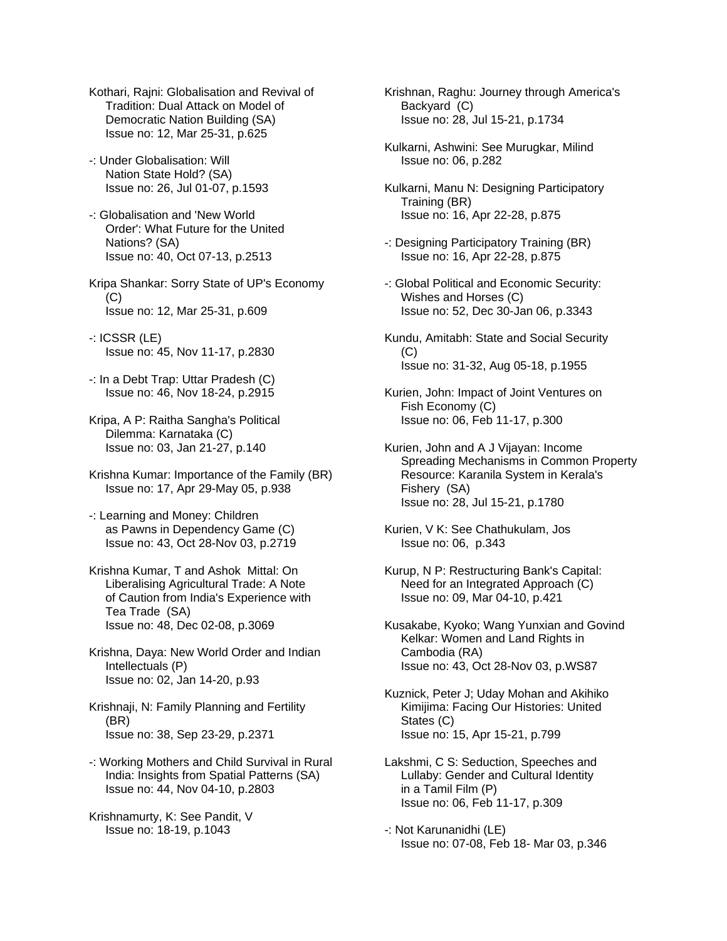- Kothari, Rajni: Globalisation and Revival of Tradition: Dual Attack on Model of Democratic Nation Building (SA) Issue no: 12, Mar 25-31, p.625
- -: Under Globalisation: Will Nation State Hold? (SA) Issue no: 26, Jul 01-07, p.1593
- -: Globalisation and 'New World Order': What Future for the United Nations? (SA) Issue no: 40, Oct 07-13, p.2513
- Kripa Shankar: Sorry State of UP's Economy  $(C)$ Issue no: 12, Mar 25-31, p.609
- -: ICSSR (LE) Issue no: 45, Nov 11-17, p.2830
- -: In a Debt Trap: Uttar Pradesh (C) Issue no: 46, Nov 18-24, p.2915
- Kripa, A P: Raitha Sangha's Political Dilemma: Karnataka (C) Issue no: 03, Jan 21-27, p.140
- Krishna Kumar: Importance of the Family (BR) Issue no: 17, Apr 29-May 05, p.938
- -: Learning and Money: Children as Pawns in Dependency Game (C) Issue no: 43, Oct 28-Nov 03, p.2719
- Krishna Kumar, T and Ashok Mittal: On Liberalising Agricultural Trade: A Note of Caution from India's Experience with Tea Trade (SA) Issue no: 48, Dec 02-08, p.3069
- Krishna, Daya: New World Order and Indian Intellectuals (P) Issue no: 02, Jan 14-20, p.93
- Krishnaji, N: Family Planning and Fertility (BR) Issue no: 38, Sep 23-29, p.2371
- -: Working Mothers and Child Survival in Rural India: Insights from Spatial Patterns (SA) Issue no: 44, Nov 04-10, p.2803
- Krishnamurty, K: See Pandit, V Issue no: 18-19, p.1043
- Krishnan, Raghu: Journey through America's Backyard (C) Issue no: 28, Jul 15-21, p.1734
- Kulkarni, Ashwini: See Murugkar, Milind Issue no: 06, p.282
- Kulkarni, Manu N: Designing Participatory Training (BR) Issue no: 16, Apr 22-28, p.875
- -: Designing Participatory Training (BR) Issue no: 16, Apr 22-28, p.875
- -: Global Political and Economic Security: Wishes and Horses (C) Issue no: 52, Dec 30-Jan 06, p.3343
- Kundu, Amitabh: State and Social Security (C) Issue no: 31-32, Aug 05-18, p.1955
- Kurien, John: Impact of Joint Ventures on Fish Economy (C) Issue no: 06, Feb 11-17, p.300
- Kurien, John and A J Vijayan: Income Spreading Mechanisms in Common Property Resource: Karanila System in Kerala's Fishery (SA) Issue no: 28, Jul 15-21, p.1780
- Kurien, V K: See Chathukulam, Jos Issue no: 06, p.343
- Kurup, N P: Restructuring Bank's Capital: Need for an Integrated Approach (C) Issue no: 09, Mar 04-10, p.421
- Kusakabe, Kyoko; Wang Yunxian and Govind Kelkar: Women and Land Rights in Cambodia (RA) Issue no: 43, Oct 28-Nov 03, p.WS87
- Kuznick, Peter J; Uday Mohan and Akihiko Kimijima: Facing Our Histories: United States (C) Issue no: 15, Apr 15-21, p.799
- Lakshmi, C S: Seduction, Speeches and Lullaby: Gender and Cultural Identity in a Tamil Film (P) Issue no: 06, Feb 11-17, p.309
- -: Not Karunanidhi (LE) Issue no: 07-08, Feb 18- Mar 03, p.346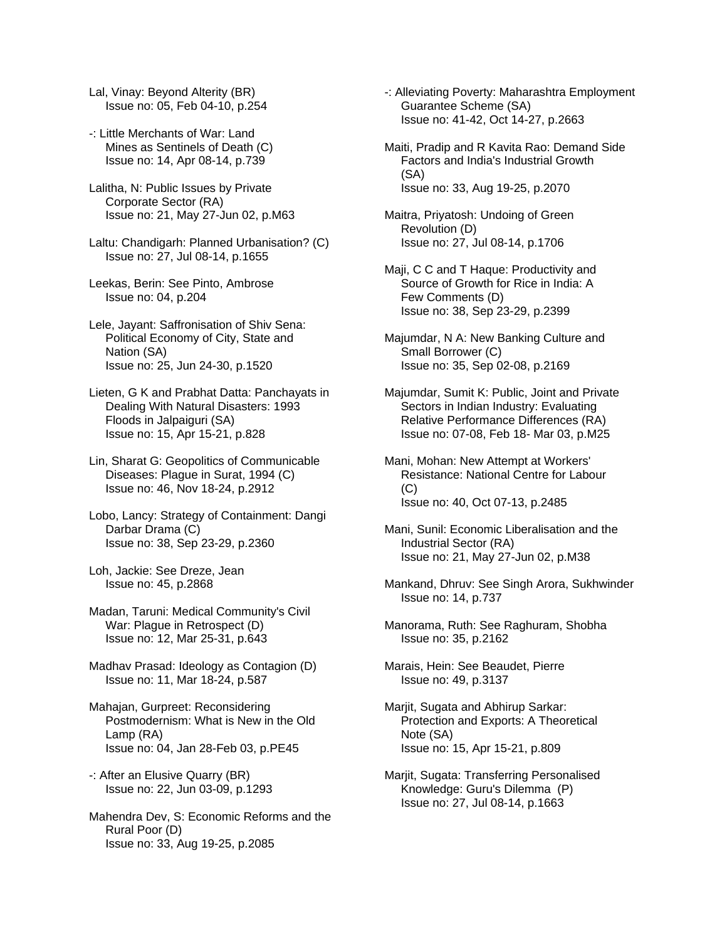- Lal, Vinay: Beyond Alterity (BR) Issue no: 05, Feb 04-10, p.254
- -: Little Merchants of War: Land Mines as Sentinels of Death (C) Issue no: 14, Apr 08-14, p.739
- Lalitha, N: Public Issues by Private Corporate Sector (RA) Issue no: 21, May 27-Jun 02, p.M63
- Laltu: Chandigarh: Planned Urbanisation? (C) Issue no: 27, Jul 08-14, p.1655
- Leekas, Berin: See Pinto, Ambrose Issue no: 04, p.204
- Lele, Jayant: Saffronisation of Shiv Sena: Political Economy of City, State and Nation (SA) Issue no: 25, Jun 24-30, p.1520
- Lieten, G K and Prabhat Datta: Panchayats in Dealing With Natural Disasters: 1993 Floods in Jalpaiguri (SA) Issue no: 15, Apr 15-21, p.828
- Lin, Sharat G: Geopolitics of Communicable Diseases: Plague in Surat, 1994 (C) Issue no: 46, Nov 18-24, p.2912
- Lobo, Lancy: Strategy of Containment: Dangi Darbar Drama (C) Issue no: 38, Sep 23-29, p.2360
- Loh, Jackie: See Dreze, Jean Issue no: 45, p.2868
- Madan, Taruni: Medical Community's Civil War: Plague in Retrospect (D) Issue no: 12, Mar 25-31, p.643
- Madhav Prasad: Ideology as Contagion (D) Issue no: 11, Mar 18-24, p.587
- Mahajan, Gurpreet: Reconsidering Postmodernism: What is New in the Old Lamp (RA) Issue no: 04, Jan 28-Feb 03, p.PE45
- -: After an Elusive Quarry (BR) Issue no: 22, Jun 03-09, p.1293
- Mahendra Dev, S: Economic Reforms and the Rural Poor (D) Issue no: 33, Aug 19-25, p.2085
- -: Alleviating Poverty: Maharashtra Employment Guarantee Scheme (SA) Issue no: 41-42, Oct 14-27, p.2663
- Maiti, Pradip and R Kavita Rao: Demand Side Factors and India's Industrial Growth (SA) Issue no: 33, Aug 19-25, p.2070
- Maitra, Priyatosh: Undoing of Green Revolution (D) Issue no: 27, Jul 08-14, p.1706
- Maji, C C and T Haque: Productivity and Source of Growth for Rice in India: A Few Comments (D) Issue no: 38, Sep 23-29, p.2399
- Majumdar, N A: New Banking Culture and Small Borrower (C) Issue no: 35, Sep 02-08, p.2169
- Majumdar, Sumit K: Public, Joint and Private Sectors in Indian Industry: Evaluating Relative Performance Differences (RA) Issue no: 07-08, Feb 18- Mar 03, p.M25
- Mani, Mohan: New Attempt at Workers' Resistance: National Centre for Labour (C) Issue no: 40, Oct 07-13, p.2485
- Mani, Sunil: Economic Liberalisation and the Industrial Sector (RA) Issue no: 21, May 27-Jun 02, p.M38
- Mankand, Dhruv: See Singh Arora, Sukhwinder Issue no: 14, p.737
- Manorama, Ruth: See Raghuram, Shobha Issue no: 35, p.2162
- Marais, Hein: See Beaudet, Pierre Issue no: 49, p.3137
- Marjit, Sugata and Abhirup Sarkar: Protection and Exports: A Theoretical Note (SA) Issue no: 15, Apr 15-21, p.809
- Marjit, Sugata: Transferring Personalised Knowledge: Guru's Dilemma (P) Issue no: 27, Jul 08-14, p.1663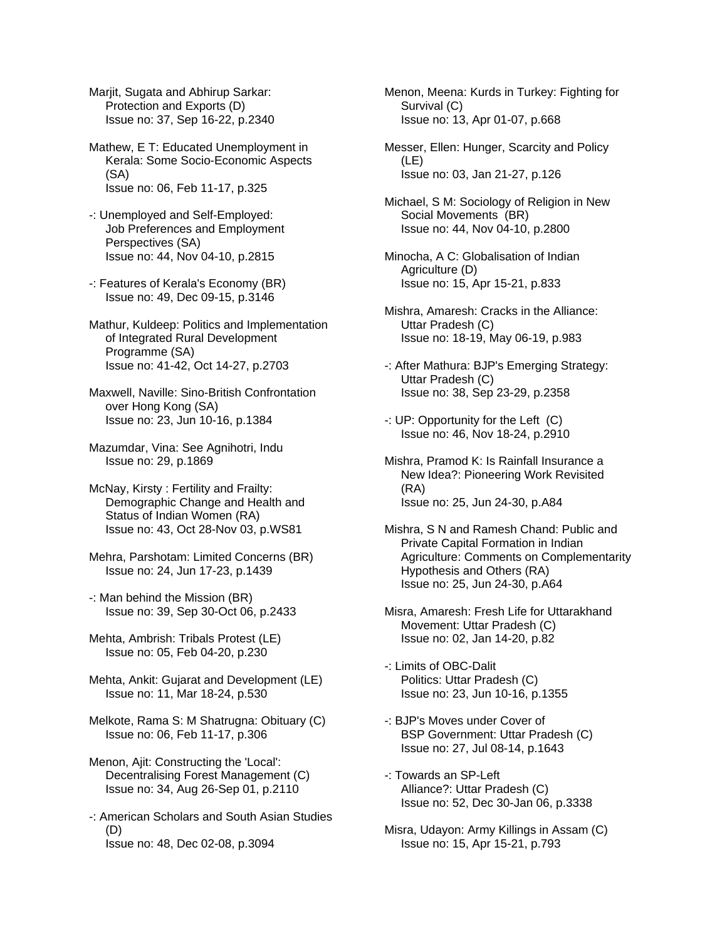Marjit, Sugata and Abhirup Sarkar: Protection and Exports (D) Issue no: 37, Sep 16-22, p.2340

Mathew, E T: Educated Unemployment in Kerala: Some Socio-Economic Aspects (SA) Issue no: 06, Feb 11-17, p.325

- -: Unemployed and Self-Employed: Job Preferences and Employment Perspectives (SA) Issue no: 44, Nov 04-10, p.2815
- -: Features of Kerala's Economy (BR) Issue no: 49, Dec 09-15, p.3146

Mathur, Kuldeep: Politics and Implementation of Integrated Rural Development Programme (SA) Issue no: 41-42, Oct 14-27, p.2703

Maxwell, Naville: Sino-British Confrontation over Hong Kong (SA) Issue no: 23, Jun 10-16, p.1384

Mazumdar, Vina: See Agnihotri, Indu Issue no: 29, p.1869

McNay, Kirsty : Fertility and Frailty: Demographic Change and Health and Status of Indian Women (RA) Issue no: 43, Oct 28-Nov 03, p.WS81

Mehra, Parshotam: Limited Concerns (BR) Issue no: 24, Jun 17-23, p.1439

-: Man behind the Mission (BR) Issue no: 39, Sep 30-Oct 06, p.2433

Mehta, Ambrish: Tribals Protest (LE) Issue no: 05, Feb 04-20, p.230

Mehta, Ankit: Gujarat and Development (LE) Issue no: 11, Mar 18-24, p.530

Melkote, Rama S: M Shatrugna: Obituary (C) Issue no: 06, Feb 11-17, p.306

Menon, Ajit: Constructing the 'Local': Decentralising Forest Management (C) Issue no: 34, Aug 26-Sep 01, p.2110

-: American Scholars and South Asian Studies (D) Issue no: 48, Dec 02-08, p.3094

Menon, Meena: Kurds in Turkey: Fighting for Survival (C) Issue no: 13, Apr 01-07, p.668

Messer, Ellen: Hunger, Scarcity and Policy (LE) Issue no: 03, Jan 21-27, p.126

Michael, S M: Sociology of Religion in New Social Movements (BR) Issue no: 44, Nov 04-10, p.2800

Minocha, A C: Globalisation of Indian Agriculture (D) Issue no: 15, Apr 15-21, p.833

Mishra, Amaresh: Cracks in the Alliance: Uttar Pradesh (C) Issue no: 18-19, May 06-19, p.983

-: After Mathura: BJP's Emerging Strategy: Uttar Pradesh (C) Issue no: 38, Sep 23-29, p.2358

-: UP: Opportunity for the Left (C) Issue no: 46, Nov 18-24, p.2910

Mishra, Pramod K: Is Rainfall Insurance a New Idea?: Pioneering Work Revisited (RA) Issue no: 25, Jun 24-30, p.A84

Mishra, S N and Ramesh Chand: Public and Private Capital Formation in Indian Agriculture: Comments on Complementarity Hypothesis and Others (RA) Issue no: 25, Jun 24-30, p.A64

Misra, Amaresh: Fresh Life for Uttarakhand Movement: Uttar Pradesh (C) Issue no: 02, Jan 14-20, p.82

-: Limits of OBC-Dalit Politics: Uttar Pradesh (C) Issue no: 23, Jun 10-16, p.1355

-: BJP's Moves under Cover of BSP Government: Uttar Pradesh (C) Issue no: 27, Jul 08-14, p.1643

-: Towards an SP-Left Alliance?: Uttar Pradesh (C) Issue no: 52, Dec 30-Jan 06, p.3338

Misra, Udayon: Army Killings in Assam (C) Issue no: 15, Apr 15-21, p.793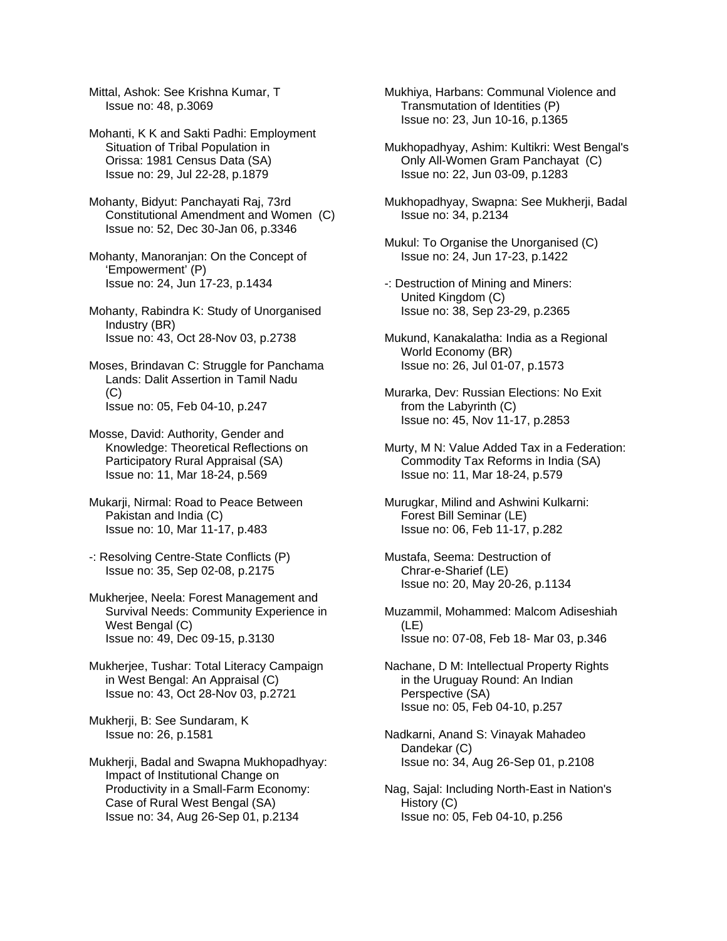Mittal, Ashok: See Krishna Kumar, T Issue no: 48, p.3069

Mohanti, K K and Sakti Padhi: Employment Situation of Tribal Population in Orissa: 1981 Census Data (SA) Issue no: 29, Jul 22-28, p.1879

Mohanty, Bidyut: Panchayati Raj, 73rd Constitutional Amendment and Women (C) Issue no: 52, Dec 30-Jan 06, p.3346

Mohanty, Manoranjan: On the Concept of 'Empowerment' (P) Issue no: 24, Jun 17-23, p.1434

Mohanty, Rabindra K: Study of Unorganised Industry (BR) Issue no: 43, Oct 28-Nov 03, p.2738

Moses, Brindavan C: Struggle for Panchama Lands: Dalit Assertion in Tamil Nadu (C) Issue no: 05, Feb 04-10, p.247

Mosse, David: Authority, Gender and Knowledge: Theoretical Reflections on Participatory Rural Appraisal (SA) Issue no: 11, Mar 18-24, p.569

Mukarji, Nirmal: Road to Peace Between Pakistan and India (C) Issue no: 10, Mar 11-17, p.483

-: Resolving Centre-State Conflicts (P) Issue no: 35, Sep 02-08, p.2175

Mukherjee, Neela: Forest Management and Survival Needs: Community Experience in West Bengal (C) Issue no: 49, Dec 09-15, p.3130

Mukherjee, Tushar: Total Literacy Campaign in West Bengal: An Appraisal (C) Issue no: 43, Oct 28-Nov 03, p.2721

Mukherji, B: See Sundaram, K Issue no: 26, p.1581

Mukherji, Badal and Swapna Mukhopadhyay: Impact of Institutional Change on Productivity in a Small-Farm Economy: Case of Rural West Bengal (SA) Issue no: 34, Aug 26-Sep 01, p.2134

Mukhiya, Harbans: Communal Violence and Transmutation of Identities (P) Issue no: 23, Jun 10-16, p.1365

Mukhopadhyay, Ashim: Kultikri: West Bengal's Only All-Women Gram Panchayat (C) Issue no: 22, Jun 03-09, p.1283

Mukhopadhyay, Swapna: See Mukherji, Badal Issue no: 34, p.2134

Mukul: To Organise the Unorganised (C) Issue no: 24, Jun 17-23, p.1422

-: Destruction of Mining and Miners: United Kingdom (C) Issue no: 38, Sep 23-29, p.2365

Mukund, Kanakalatha: India as a Regional World Economy (BR) Issue no: 26, Jul 01-07, p.1573

Murarka, Dev: Russian Elections: No Exit from the Labyrinth (C) Issue no: 45, Nov 11-17, p.2853

Murty, M N: Value Added Tax in a Federation: Commodity Tax Reforms in India (SA) Issue no: 11, Mar 18-24, p.579

Murugkar, Milind and Ashwini Kulkarni: Forest Bill Seminar (LE) Issue no: 06, Feb 11-17, p.282

Mustafa, Seema: Destruction of Chrar-e-Sharief (LE) Issue no: 20, May 20-26, p.1134

Muzammil, Mohammed: Malcom Adiseshiah (LE) Issue no: 07-08, Feb 18- Mar 03, p.346

Nachane, D M: Intellectual Property Rights in the Uruguay Round: An Indian Perspective (SA) Issue no: 05, Feb 04-10, p.257

Nadkarni, Anand S: Vinayak Mahadeo Dandekar (C) Issue no: 34, Aug 26-Sep 01, p.2108

Nag, Sajal: Including North-East in Nation's History (C) Issue no: 05, Feb 04-10, p.256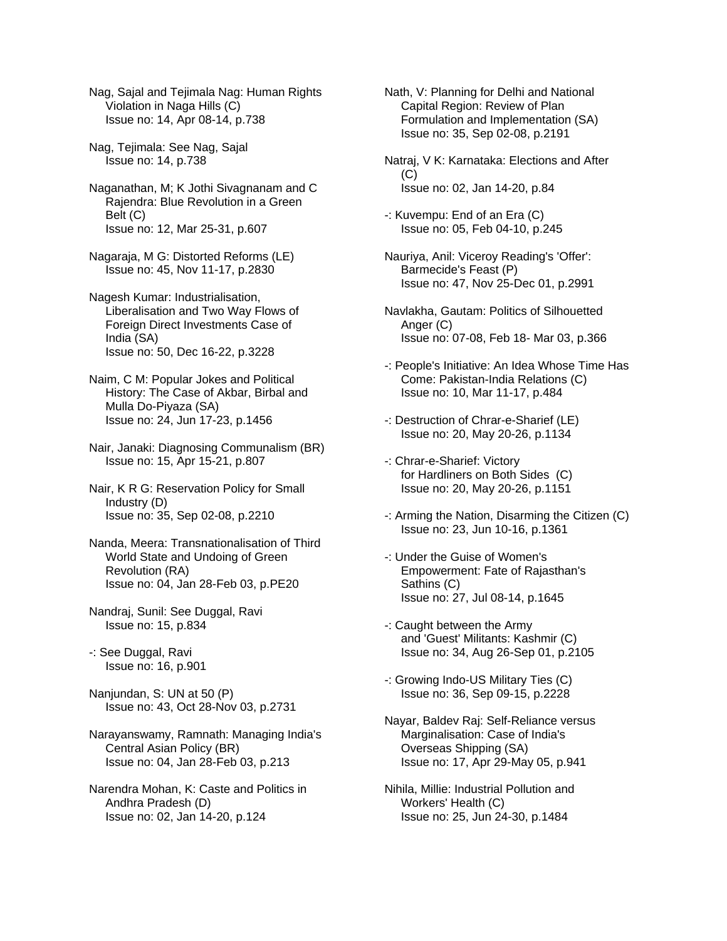Nag, Sajal and Tejimala Nag: Human Rights Violation in Naga Hills (C) Issue no: 14, Apr 08-14, p.738

Nag, Tejimala: See Nag, Sajal Issue no: 14, p.738

Naganathan, M; K Jothi Sivagnanam and C Rajendra: Blue Revolution in a Green Belt (C) Issue no: 12, Mar 25-31, p.607

Nagaraja, M G: Distorted Reforms (LE) Issue no: 45, Nov 11-17, p.2830

Nagesh Kumar: Industrialisation, Liberalisation and Two Way Flows of Foreign Direct Investments Case of India (SA) Issue no: 50, Dec 16-22, p.3228

Naim, C M: Popular Jokes and Political History: The Case of Akbar, Birbal and Mulla Do-Piyaza (SA) Issue no: 24, Jun 17-23, p.1456

Nair, Janaki: Diagnosing Communalism (BR) Issue no: 15, Apr 15-21, p.807

Nair, K R G: Reservation Policy for Small Industry (D) Issue no: 35, Sep 02-08, p.2210

Nanda, Meera: Transnationalisation of Third World State and Undoing of Green Revolution (RA) Issue no: 04, Jan 28-Feb 03, p.PE20

Nandraj, Sunil: See Duggal, Ravi Issue no: 15, p.834

-: See Duggal, Ravi Issue no: 16, p.901

Nanjundan, S: UN at 50 (P) Issue no: 43, Oct 28-Nov 03, p.2731

Narayanswamy, Ramnath: Managing India's Central Asian Policy (BR) Issue no: 04, Jan 28-Feb 03, p.213

Narendra Mohan, K: Caste and Politics in Andhra Pradesh (D) Issue no: 02, Jan 14-20, p.124

Nath, V: Planning for Delhi and National Capital Region: Review of Plan Formulation and Implementation (SA) Issue no: 35, Sep 02-08, p.2191

Natraj, V K: Karnataka: Elections and After  $(C)$ Issue no: 02, Jan 14-20, p.84

-: Kuvempu: End of an Era (C) Issue no: 05, Feb 04-10, p.245

Nauriya, Anil: Viceroy Reading's 'Offer': Barmecide's Feast (P) Issue no: 47, Nov 25-Dec 01, p.2991

Navlakha, Gautam: Politics of Silhouetted Anger (C) Issue no: 07-08, Feb 18- Mar 03, p.366

-: People's Initiative: An Idea Whose Time Has Come: Pakistan-India Relations (C) Issue no: 10, Mar 11-17, p.484

-: Destruction of Chrar-e-Sharief (LE) Issue no: 20, May 20-26, p.1134

-: Chrar-e-Sharief: Victory for Hardliners on Both Sides (C) Issue no: 20, May 20-26, p.1151

-: Arming the Nation, Disarming the Citizen (C) Issue no: 23, Jun 10-16, p.1361

-: Under the Guise of Women's Empowerment: Fate of Rajasthan's Sathins (C) Issue no: 27, Jul 08-14, p.1645

-: Caught between the Army and 'Guest' Militants: Kashmir (C) Issue no: 34, Aug 26-Sep 01, p.2105

-: Growing Indo-US Military Ties (C) Issue no: 36, Sep 09-15, p.2228

Nayar, Baldev Raj: Self-Reliance versus Marginalisation: Case of India's Overseas Shipping (SA) Issue no: 17, Apr 29-May 05, p.941

Nihila, Millie: Industrial Pollution and Workers' Health (C) Issue no: 25, Jun 24-30, p.1484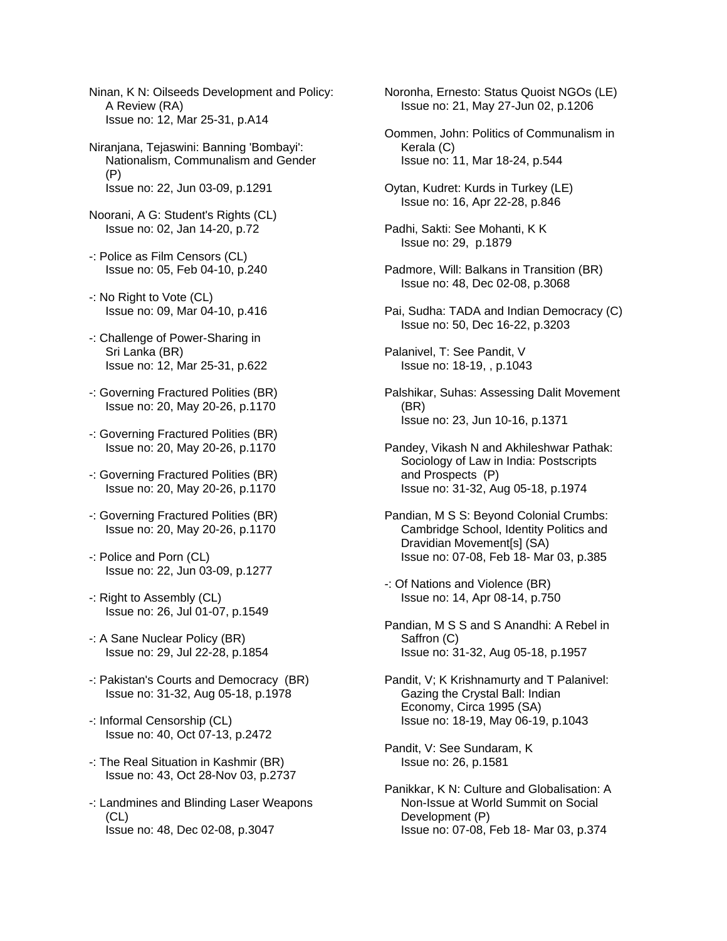Ninan, K N: Oilseeds Development and Policy: A Review (RA) Issue no: 12, Mar 25-31, p.A14

Niranjana, Tejaswini: Banning 'Bombayi': Nationalism, Communalism and Gender (P) Issue no: 22, Jun 03-09, p.1291

- Noorani, A G: Student's Rights (CL) Issue no: 02, Jan 14-20, p.72
- -: Police as Film Censors (CL) Issue no: 05, Feb 04-10, p.240
- -: No Right to Vote (CL) Issue no: 09, Mar 04-10, p.416
- -: Challenge of Power-Sharing in Sri Lanka (BR) Issue no: 12, Mar 25-31, p.622
- -: Governing Fractured Polities (BR) Issue no: 20, May 20-26, p.1170
- -: Governing Fractured Polities (BR) Issue no: 20, May 20-26, p.1170
- -: Governing Fractured Polities (BR) Issue no: 20, May 20-26, p.1170
- -: Governing Fractured Polities (BR) Issue no: 20, May 20-26, p.1170
- -: Police and Porn (CL) Issue no: 22, Jun 03-09, p.1277
- -: Right to Assembly (CL) Issue no: 26, Jul 01-07, p.1549
- -: A Sane Nuclear Policy (BR) Issue no: 29, Jul 22-28, p.1854
- -: Pakistan's Courts and Democracy (BR) Issue no: 31-32, Aug 05-18, p.1978
- -: Informal Censorship (CL) Issue no: 40, Oct 07-13, p.2472
- -: The Real Situation in Kashmir (BR) Issue no: 43, Oct 28-Nov 03, p.2737
- -: Landmines and Blinding Laser Weapons  $(CL)$ Issue no: 48, Dec 02-08, p.3047

Noronha, Ernesto: Status Quoist NGOs (LE) Issue no: 21, May 27-Jun 02, p.1206

- Oommen, John: Politics of Communalism in Kerala (C) Issue no: 11, Mar 18-24, p.544
- Oytan, Kudret: Kurds in Turkey (LE) Issue no: 16, Apr 22-28, p.846
- Padhi, Sakti: See Mohanti, K K Issue no: 29, p.1879
- Padmore, Will: Balkans in Transition (BR) Issue no: 48, Dec 02-08, p.3068
- Pai, Sudha: TADA and Indian Democracy (C) Issue no: 50, Dec 16-22, p.3203
- Palanivel, T: See Pandit, V Issue no: 18-19, , p.1043
- Palshikar, Suhas: Assessing Dalit Movement (BR) Issue no: 23, Jun 10-16, p.1371
- Pandey, Vikash N and Akhileshwar Pathak: Sociology of Law in India: Postscripts and Prospects (P) Issue no: 31-32, Aug 05-18, p.1974
- Pandian, M S S: Beyond Colonial Crumbs: Cambridge School, Identity Politics and Dravidian Movement[s] (SA) Issue no: 07-08, Feb 18- Mar 03, p.385
- -: Of Nations and Violence (BR) Issue no: 14, Apr 08-14, p.750
- Pandian, M S S and S Anandhi: A Rebel in Saffron (C) Issue no: 31-32, Aug 05-18, p.1957
- Pandit, V; K Krishnamurty and T Palanivel: Gazing the Crystal Ball: Indian Economy, Circa 1995 (SA) Issue no: 18-19, May 06-19, p.1043
- Pandit, V: See Sundaram, K Issue no: 26, p.1581
- Panikkar, K N: Culture and Globalisation: A Non-Issue at World Summit on Social Development (P) Issue no: 07-08, Feb 18- Mar 03, p.374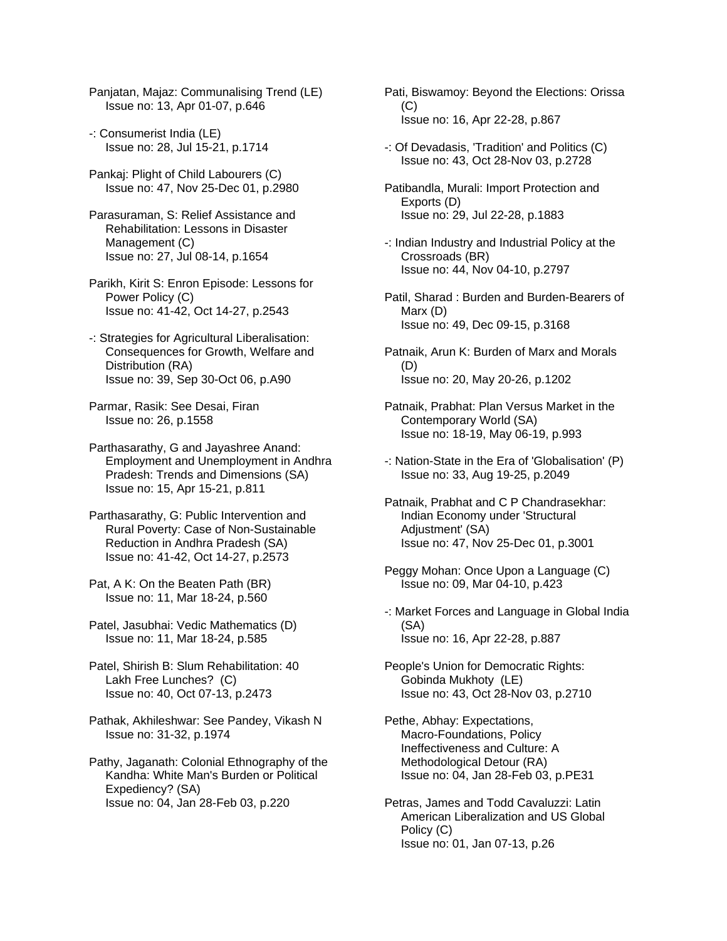Panjatan, Majaz: Communalising Trend (LE) Issue no: 13, Apr 01-07, p.646

- -: Consumerist India (LE) Issue no: 28, Jul 15-21, p.1714
- Pankaj: Plight of Child Labourers (C) Issue no: 47, Nov 25-Dec 01, p.2980
- Parasuraman, S: Relief Assistance and Rehabilitation: Lessons in Disaster Management (C) Issue no: 27, Jul 08-14, p.1654
- Parikh, Kirit S: Enron Episode: Lessons for Power Policy (C) Issue no: 41-42, Oct 14-27, p.2543
- -: Strategies for Agricultural Liberalisation: Consequences for Growth, Welfare and Distribution (RA) Issue no: 39, Sep 30-Oct 06, p.A90
- Parmar, Rasik: See Desai, Firan Issue no: 26, p.1558
- Parthasarathy, G and Jayashree Anand: Employment and Unemployment in Andhra Pradesh: Trends and Dimensions (SA) Issue no: 15, Apr 15-21, p.811
- Parthasarathy, G: Public Intervention and Rural Poverty: Case of Non-Sustainable Reduction in Andhra Pradesh (SA) Issue no: 41-42, Oct 14-27, p.2573
- Pat, A K: On the Beaten Path (BR) Issue no: 11, Mar 18-24, p.560
- Patel, Jasubhai: Vedic Mathematics (D) Issue no: 11, Mar 18-24, p.585
- Patel, Shirish B: Slum Rehabilitation: 40 Lakh Free Lunches? (C) Issue no: 40, Oct 07-13, p.2473
- Pathak, Akhileshwar: See Pandey, Vikash N Issue no: 31-32, p.1974
- Pathy, Jaganath: Colonial Ethnography of the Kandha: White Man's Burden or Political Expediency? (SA) Issue no: 04, Jan 28-Feb 03, p.220
- Pati, Biswamoy: Beyond the Elections: Orissa (C) Issue no: 16, Apr 22-28, p.867
- -: Of Devadasis, 'Tradition' and Politics (C) Issue no: 43, Oct 28-Nov 03, p.2728
- Patibandla, Murali: Import Protection and Exports (D) Issue no: 29, Jul 22-28, p.1883
- -: Indian Industry and Industrial Policy at the Crossroads (BR) Issue no: 44, Nov 04-10, p.2797
- Patil, Sharad : Burden and Burden-Bearers of Marx (D) Issue no: 49, Dec 09-15, p.3168
- Patnaik, Arun K: Burden of Marx and Morals (D) Issue no: 20, May 20-26, p.1202
- Patnaik, Prabhat: Plan Versus Market in the Contemporary World (SA) Issue no: 18-19, May 06-19, p.993
- -: Nation-State in the Era of 'Globalisation' (P) Issue no: 33, Aug 19-25, p.2049
- Patnaik, Prabhat and C P Chandrasekhar: Indian Economy under 'Structural Adjustment' (SA) Issue no: 47, Nov 25-Dec 01, p.3001
- Peggy Mohan: Once Upon a Language (C) Issue no: 09, Mar 04-10, p.423
- -: Market Forces and Language in Global India (SA) Issue no: 16, Apr 22-28, p.887
- People's Union for Democratic Rights: Gobinda Mukhoty (LE) Issue no: 43, Oct 28-Nov 03, p.2710
- Pethe, Abhay: Expectations, Macro-Foundations, Policy Ineffectiveness and Culture: A Methodological Detour (RA) Issue no: 04, Jan 28-Feb 03, p.PE31
- Petras, James and Todd Cavaluzzi: Latin American Liberalization and US Global Policy (C) Issue no: 01, Jan 07-13, p.26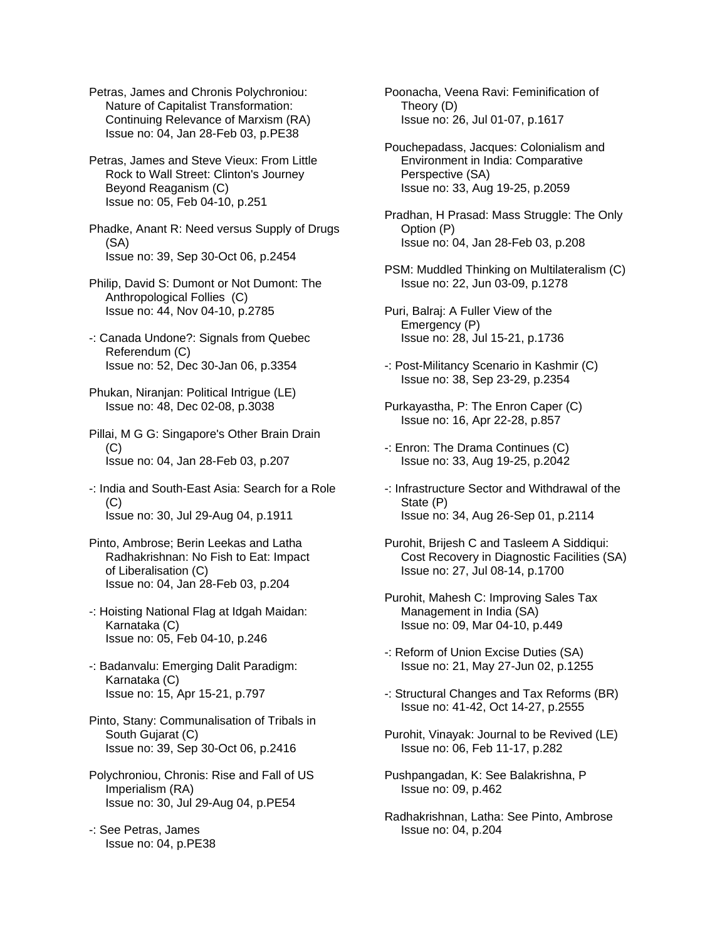Petras, James and Chronis Polychroniou: Nature of Capitalist Transformation: Continuing Relevance of Marxism (RA) Issue no: 04, Jan 28-Feb 03, p.PE38

Petras, James and Steve Vieux: From Little Rock to Wall Street: Clinton's Journey Beyond Reaganism (C) Issue no: 05, Feb 04-10, p.251

Phadke, Anant R: Need versus Supply of Drugs (SA) Issue no: 39, Sep 30-Oct 06, p.2454

Philip, David S: Dumont or Not Dumont: The Anthropological Follies (C) Issue no: 44, Nov 04-10, p.2785

- -: Canada Undone?: Signals from Quebec Referendum (C) Issue no: 52, Dec 30-Jan 06, p.3354
- Phukan, Niranjan: Political Intrigue (LE) Issue no: 48, Dec 02-08, p.3038
- Pillai, M G G: Singapore's Other Brain Drain  $(C)$ Issue no: 04, Jan 28-Feb 03, p.207
- -: India and South-East Asia: Search for a Role  $(C)$ Issue no: 30, Jul 29-Aug 04, p.1911
- Pinto, Ambrose; Berin Leekas and Latha Radhakrishnan: No Fish to Eat: Impact of Liberalisation (C) Issue no: 04, Jan 28-Feb 03, p.204
- -: Hoisting National Flag at Idgah Maidan: Karnataka (C) Issue no: 05, Feb 04-10, p.246
- -: Badanvalu: Emerging Dalit Paradigm: Karnataka (C) Issue no: 15, Apr 15-21, p.797
- Pinto, Stany: Communalisation of Tribals in South Gujarat (C) Issue no: 39, Sep 30-Oct 06, p.2416
- Polychroniou, Chronis: Rise and Fall of US Imperialism (RA) Issue no: 30, Jul 29-Aug 04, p.PE54
- -: See Petras, James Issue no: 04, p.PE38

Poonacha, Veena Ravi: Feminification of Theory (D) Issue no: 26, Jul 01-07, p.1617

Pouchepadass, Jacques: Colonialism and Environment in India: Comparative Perspective (SA) Issue no: 33, Aug 19-25, p.2059

Pradhan, H Prasad: Mass Struggle: The Only Option (P) Issue no: 04, Jan 28-Feb 03, p.208

- PSM: Muddled Thinking on Multilateralism (C) Issue no: 22, Jun 03-09, p.1278
- Puri, Balraj: A Fuller View of the Emergency (P) Issue no: 28, Jul 15-21, p.1736
- -: Post-Militancy Scenario in Kashmir (C) Issue no: 38, Sep 23-29, p.2354
- Purkayastha, P: The Enron Caper (C) Issue no: 16, Apr 22-28, p.857
- -: Enron: The Drama Continues (C) Issue no: 33, Aug 19-25, p.2042
- -: Infrastructure Sector and Withdrawal of the State (P) Issue no: 34, Aug 26-Sep 01, p.2114
- Purohit, Brijesh C and Tasleem A Siddiqui: Cost Recovery in Diagnostic Facilities (SA) Issue no: 27, Jul 08-14, p.1700
- Purohit, Mahesh C: Improving Sales Tax Management in India (SA) Issue no: 09, Mar 04-10, p.449
- -: Reform of Union Excise Duties (SA) Issue no: 21, May 27-Jun 02, p.1255
- -: Structural Changes and Tax Reforms (BR) Issue no: 41-42, Oct 14-27, p.2555
- Purohit, Vinayak: Journal to be Revived (LE) Issue no: 06, Feb 11-17, p.282
- Pushpangadan, K: See Balakrishna, P Issue no: 09, p.462
- Radhakrishnan, Latha: See Pinto, Ambrose Issue no: 04, p.204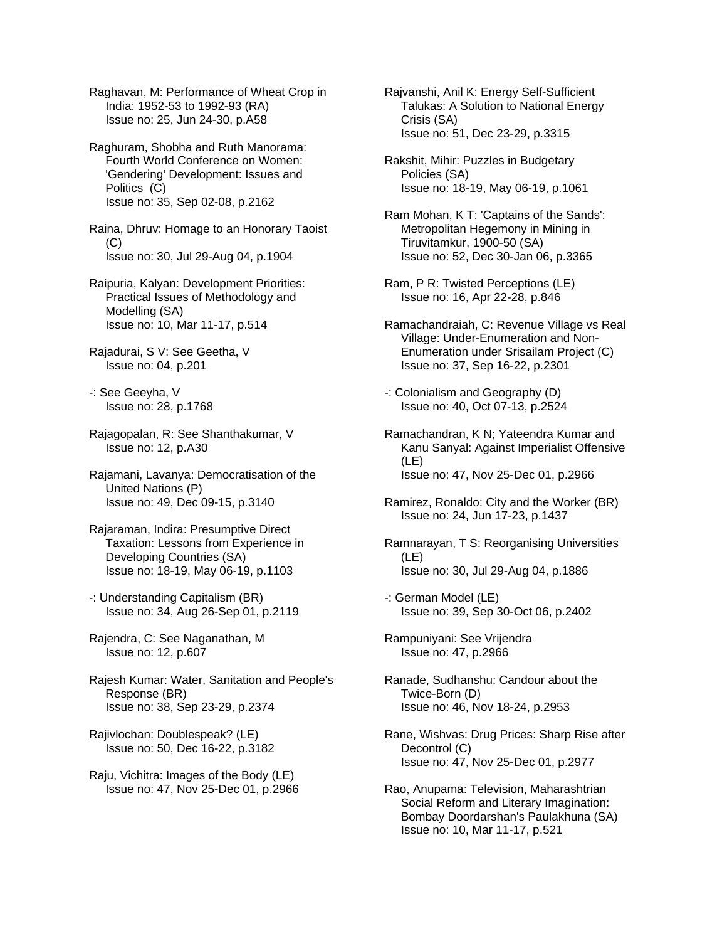Raghavan, M: Performance of Wheat Crop in India: 1952-53 to 1992-93 (RA) Issue no: 25, Jun 24-30, p.A58

Raghuram, Shobha and Ruth Manorama: Fourth World Conference on Women: 'Gendering' Development: Issues and Politics (C) Issue no: 35, Sep 02-08, p.2162

Raina, Dhruv: Homage to an Honorary Taoist (C) Issue no: 30, Jul 29-Aug 04, p.1904

Raipuria, Kalyan: Development Priorities: Practical Issues of Methodology and Modelling (SA) Issue no: 10, Mar 11-17, p.514

Rajadurai, S V: See Geetha, V Issue no: 04, p.201

-: See Geeyha, V Issue no: 28, p.1768

Rajagopalan, R: See Shanthakumar, V Issue no: 12, p.A30

Rajamani, Lavanya: Democratisation of the United Nations (P) Issue no: 49, Dec 09-15, p.3140

Rajaraman, Indira: Presumptive Direct Taxation: Lessons from Experience in Developing Countries (SA) Issue no: 18-19, May 06-19, p.1103

-: Understanding Capitalism (BR) Issue no: 34, Aug 26-Sep 01, p.2119

Rajendra, C: See Naganathan, M Issue no: 12, p.607

Rajesh Kumar: Water, Sanitation and People's Response (BR) Issue no: 38, Sep 23-29, p.2374

Rajivlochan: Doublespeak? (LE) Issue no: 50, Dec 16-22, p.3182

Raju, Vichitra: Images of the Body (LE) Issue no: 47, Nov 25-Dec 01, p.2966 Rajvanshi, Anil K: Energy Self-Sufficient Talukas: A Solution to National Energy Crisis (SA) Issue no: 51, Dec 23-29, p.3315

Rakshit, Mihir: Puzzles in Budgetary Policies (SA) Issue no: 18-19, May 06-19, p.1061

Ram Mohan, K T: 'Captains of the Sands': Metropolitan Hegemony in Mining in Tiruvitamkur, 1900-50 (SA) Issue no: 52, Dec 30-Jan 06, p.3365

Ram, P R: Twisted Perceptions (LE) Issue no: 16, Apr 22-28, p.846

Ramachandraiah, C: Revenue Village vs Real Village: Under-Enumeration and Non- Enumeration under Srisailam Project (C) Issue no: 37, Sep 16-22, p.2301

-: Colonialism and Geography (D) Issue no: 40, Oct 07-13, p.2524

Ramachandran, K N; Yateendra Kumar and Kanu Sanyal: Against Imperialist Offensive (LE) Issue no: 47, Nov 25-Dec 01, p.2966

Ramirez, Ronaldo: City and the Worker (BR) Issue no: 24, Jun 17-23, p.1437

Ramnarayan, T S: Reorganising Universities (LE) Issue no: 30, Jul 29-Aug 04, p.1886

-: German Model (LE) Issue no: 39, Sep 30-Oct 06, p.2402

Rampuniyani: See Vrijendra Issue no: 47, p.2966

Ranade, Sudhanshu: Candour about the Twice-Born (D) Issue no: 46, Nov 18-24, p.2953

Rane, Wishvas: Drug Prices: Sharp Rise after Decontrol (C) Issue no: 47, Nov 25-Dec 01, p.2977

Rao, Anupama: Television, Maharashtrian Social Reform and Literary Imagination: Bombay Doordarshan's Paulakhuna (SA) Issue no: 10, Mar 11-17, p.521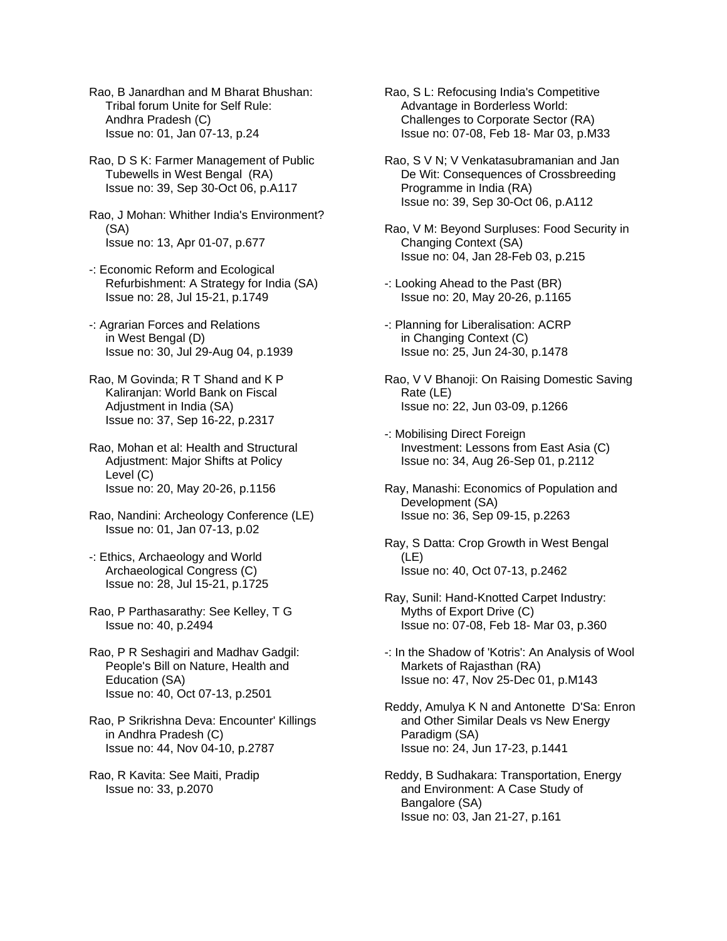Rao, B Janardhan and M Bharat Bhushan: Tribal forum Unite for Self Rule: Andhra Pradesh (C) Issue no: 01, Jan 07-13, p.24

Rao, D S K: Farmer Management of Public Tubewells in West Bengal (RA) Issue no: 39, Sep 30-Oct 06, p.A117

Rao, J Mohan: Whither India's Environment? (SA) Issue no: 13, Apr 01-07, p.677

-: Economic Reform and Ecological Refurbishment: A Strategy for India (SA) Issue no: 28, Jul 15-21, p.1749

-: Agrarian Forces and Relations in West Bengal (D) Issue no: 30, Jul 29-Aug 04, p.1939

Rao, M Govinda; R T Shand and K P Kaliranjan: World Bank on Fiscal Adjustment in India (SA) Issue no: 37, Sep 16-22, p.2317

Rao, Mohan et al: Health and Structural Adjustment: Major Shifts at Policy Level (C) Issue no: 20, May 20-26, p.1156

Rao, Nandini: Archeology Conference (LE) Issue no: 01, Jan 07-13, p.02

-: Ethics, Archaeology and World Archaeological Congress (C) Issue no: 28, Jul 15-21, p.1725

Rao, P Parthasarathy: See Kelley, T G Issue no: 40, p.2494

Rao, P R Seshagiri and Madhav Gadgil: People's Bill on Nature, Health and Education (SA) Issue no: 40, Oct 07-13, p.2501

Rao, P Srikrishna Deva: Encounter' Killings in Andhra Pradesh (C) Issue no: 44, Nov 04-10, p.2787

Rao, R Kavita: See Maiti, Pradip Issue no: 33, p.2070

Rao, S L: Refocusing India's Competitive Advantage in Borderless World: Challenges to Corporate Sector (RA) Issue no: 07-08, Feb 18- Mar 03, p.M33

Rao, S V N; V Venkatasubramanian and Jan De Wit: Consequences of Crossbreeding Programme in India (RA) Issue no: 39, Sep 30-Oct 06, p.A112

Rao, V M: Beyond Surpluses: Food Security in Changing Context (SA) Issue no: 04, Jan 28-Feb 03, p.215

-: Looking Ahead to the Past (BR) Issue no: 20, May 20-26, p.1165

-: Planning for Liberalisation: ACRP in Changing Context (C) Issue no: 25, Jun 24-30, p.1478

Rao, V V Bhanoji: On Raising Domestic Saving Rate (LE) Issue no: 22, Jun 03-09, p.1266

-: Mobilising Direct Foreign Investment: Lessons from East Asia (C) Issue no: 34, Aug 26-Sep 01, p.2112

Ray, Manashi: Economics of Population and Development (SA) Issue no: 36, Sep 09-15, p.2263

Ray, S Datta: Crop Growth in West Bengal (LE) Issue no: 40, Oct 07-13, p.2462

Ray, Sunil: Hand-Knotted Carpet Industry: Myths of Export Drive (C) Issue no: 07-08, Feb 18- Mar 03, p.360

-: In the Shadow of 'Kotris': An Analysis of Wool Markets of Rajasthan (RA) Issue no: 47, Nov 25-Dec 01, p.M143

Reddy, Amulya K N and Antonette D'Sa: Enron and Other Similar Deals vs New Energy Paradigm (SA) Issue no: 24, Jun 17-23, p.1441

Reddy, B Sudhakara: Transportation, Energy and Environment: A Case Study of Bangalore (SA) Issue no: 03, Jan 21-27, p.161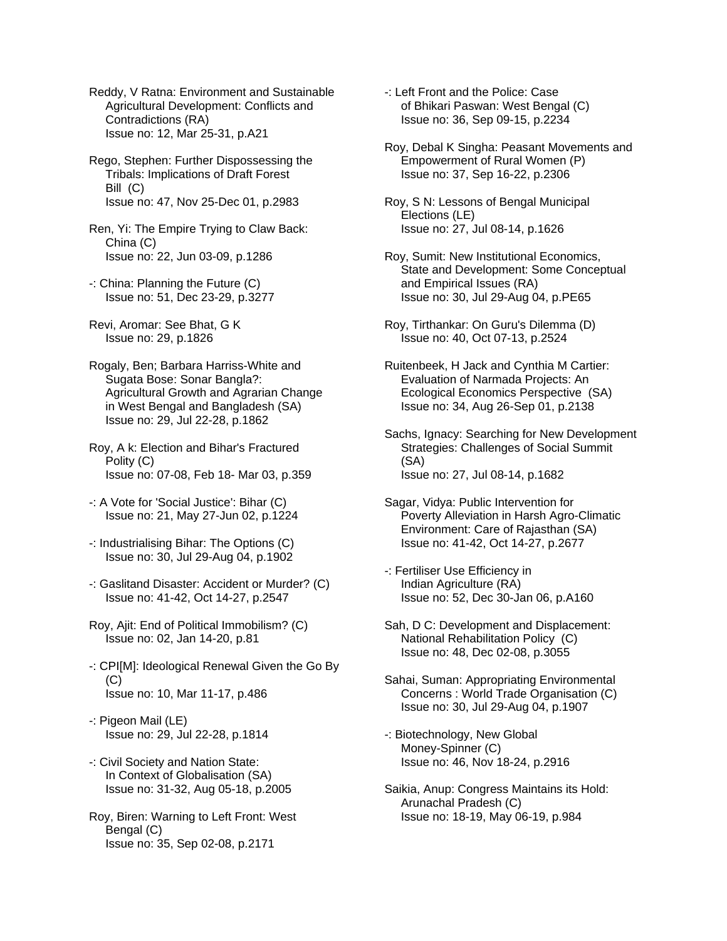Reddy, V Ratna: Environment and Sustainable Agricultural Development: Conflicts and Contradictions (RA) Issue no: 12, Mar 25-31, p.A21

Rego, Stephen: Further Dispossessing the Tribals: Implications of Draft Forest Bill (C) Issue no: 47, Nov 25-Dec 01, p.2983

Ren, Yi: The Empire Trying to Claw Back: China (C) Issue no: 22, Jun 03-09, p.1286

-: China: Planning the Future (C) Issue no: 51, Dec 23-29, p.3277

Revi, Aromar: See Bhat, G K Issue no: 29, p.1826

Rogaly, Ben; Barbara Harriss-White and Sugata Bose: Sonar Bangla?: Agricultural Growth and Agrarian Change in West Bengal and Bangladesh (SA) Issue no: 29, Jul 22-28, p.1862

Roy, A k: Election and Bihar's Fractured Polity (C) Issue no: 07-08, Feb 18- Mar 03, p.359

-: A Vote for 'Social Justice': Bihar (C) Issue no: 21, May 27-Jun 02, p.1224

-: Industrialising Bihar: The Options (C) Issue no: 30, Jul 29-Aug 04, p.1902

-: Gaslitand Disaster: Accident or Murder? (C) Issue no: 41-42, Oct 14-27, p.2547

Roy, Ajit: End of Political Immobilism? (C) Issue no: 02, Jan 14-20, p.81

-: CPI[M]: Ideological Renewal Given the Go By (C) Issue no: 10, Mar 11-17, p.486

-: Pigeon Mail (LE) Issue no: 29, Jul 22-28, p.1814

-: Civil Society and Nation State: In Context of Globalisation (SA) Issue no: 31-32, Aug 05-18, p.2005

Roy, Biren: Warning to Left Front: West Bengal (C) Issue no: 35, Sep 02-08, p.2171

-: Left Front and the Police: Case of Bhikari Paswan: West Bengal (C) Issue no: 36, Sep 09-15, p.2234

Roy, Debal K Singha: Peasant Movements and Empowerment of Rural Women (P) Issue no: 37, Sep 16-22, p.2306

Roy, S N: Lessons of Bengal Municipal Elections (LE) Issue no: 27, Jul 08-14, p.1626

Roy, Sumit: New Institutional Economics, State and Development: Some Conceptual and Empirical Issues (RA) Issue no: 30, Jul 29-Aug 04, p.PE65

Roy, Tirthankar: On Guru's Dilemma (D) Issue no: 40, Oct 07-13, p.2524

Ruitenbeek, H Jack and Cynthia M Cartier: Evaluation of Narmada Projects: An Ecological Economics Perspective (SA) Issue no: 34, Aug 26-Sep 01, p.2138

Sachs, Ignacy: Searching for New Development Strategies: Challenges of Social Summit (SA) Issue no: 27, Jul 08-14, p.1682

Sagar, Vidya: Public Intervention for Poverty Alleviation in Harsh Agro-Climatic Environment: Care of Rajasthan (SA) Issue no: 41-42, Oct 14-27, p.2677

-: Fertiliser Use Efficiency in Indian Agriculture (RA) Issue no: 52, Dec 30-Jan 06, p.A160

Sah, D C: Development and Displacement: National Rehabilitation Policy (C) Issue no: 48, Dec 02-08, p.3055

Sahai, Suman: Appropriating Environmental Concerns : World Trade Organisation (C) Issue no: 30, Jul 29-Aug 04, p.1907

-: Biotechnology, New Global Money-Spinner (C) Issue no: 46, Nov 18-24, p.2916

Saikia, Anup: Congress Maintains its Hold: Arunachal Pradesh (C) Issue no: 18-19, May 06-19, p.984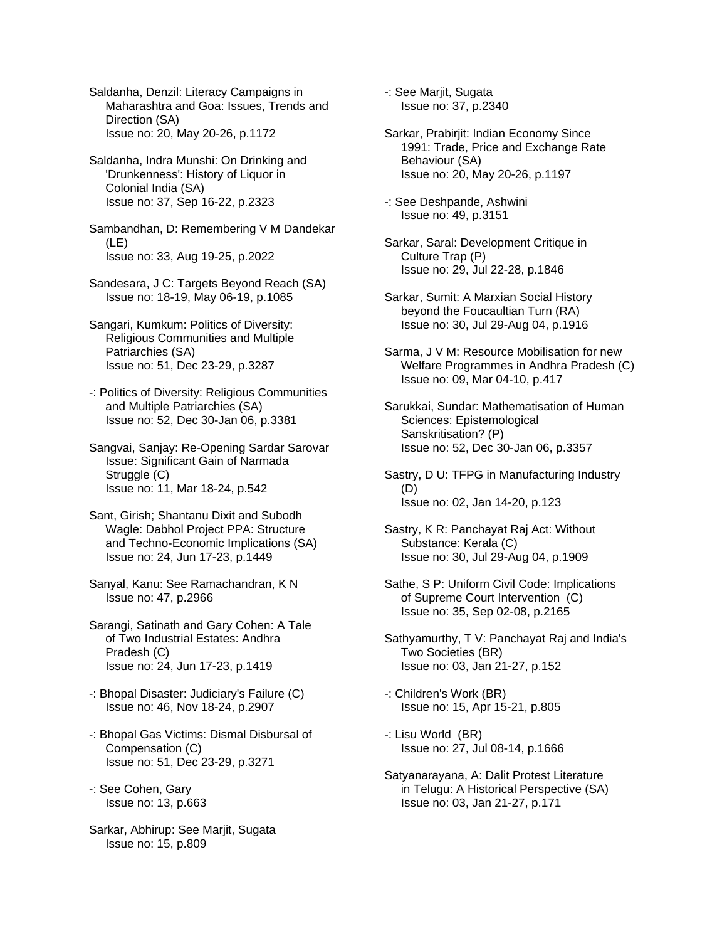Saldanha, Denzil: Literacy Campaigns in Maharashtra and Goa: Issues, Trends and Direction (SA) Issue no: 20, May 20-26, p.1172

Saldanha, Indra Munshi: On Drinking and 'Drunkenness': History of Liquor in Colonial India (SA) Issue no: 37, Sep 16-22, p.2323

Sambandhan, D: Remembering V M Dandekar (LE) Issue no: 33, Aug 19-25, p.2022

- Sandesara, J C: Targets Beyond Reach (SA) Issue no: 18-19, May 06-19, p.1085
- Sangari, Kumkum: Politics of Diversity: Religious Communities and Multiple Patriarchies (SA) Issue no: 51, Dec 23-29, p.3287
- -: Politics of Diversity: Religious Communities and Multiple Patriarchies (SA) Issue no: 52, Dec 30-Jan 06, p.3381

Sangvai, Sanjay: Re-Opening Sardar Sarovar Issue: Significant Gain of Narmada Struggle (C) Issue no: 11, Mar 18-24, p.542

- Sant, Girish; Shantanu Dixit and Subodh Wagle: Dabhol Project PPA: Structure and Techno-Economic Implications (SA) Issue no: 24, Jun 17-23, p.1449
- Sanyal, Kanu: See Ramachandran, K N Issue no: 47, p.2966

Sarangi, Satinath and Gary Cohen: A Tale of Two Industrial Estates: Andhra Pradesh (C) Issue no: 24, Jun 17-23, p.1419

- -: Bhopal Disaster: Judiciary's Failure (C) Issue no: 46, Nov 18-24, p.2907
- -: Bhopal Gas Victims: Dismal Disbursal of Compensation (C) Issue no: 51, Dec 23-29, p.3271
- -: See Cohen, Gary Issue no: 13, p.663

Sarkar, Abhirup: See Marjit, Sugata Issue no: 15, p.809

-: See Marjit, Sugata Issue no: 37, p.2340

- Sarkar, Prabirjit: Indian Economy Since 1991: Trade, Price and Exchange Rate Behaviour (SA) Issue no: 20, May 20-26, p.1197
- -: See Deshpande, Ashwini Issue no: 49, p.3151
- Sarkar, Saral: Development Critique in Culture Trap (P) Issue no: 29, Jul 22-28, p.1846
- Sarkar, Sumit: A Marxian Social History beyond the Foucaultian Turn (RA) Issue no: 30, Jul 29-Aug 04, p.1916
- Sarma, J V M: Resource Mobilisation for new Welfare Programmes in Andhra Pradesh (C) Issue no: 09, Mar 04-10, p.417
- Sarukkai, Sundar: Mathematisation of Human Sciences: Epistemological Sanskritisation? (P) Issue no: 52, Dec 30-Jan 06, p.3357
- Sastry, D U: TFPG in Manufacturing Industry (D) Issue no: 02, Jan 14-20, p.123
- Sastry, K R: Panchayat Raj Act: Without Substance: Kerala (C) Issue no: 30, Jul 29-Aug 04, p.1909
- Sathe, S P: Uniform Civil Code: Implications of Supreme Court Intervention (C) Issue no: 35, Sep 02-08, p.2165
- Sathyamurthy, T V: Panchayat Raj and India's Two Societies (BR) Issue no: 03, Jan 21-27, p.152
- -: Children's Work (BR) Issue no: 15, Apr 15-21, p.805
- -: Lisu World (BR) Issue no: 27, Jul 08-14, p.1666
- Satyanarayana, A: Dalit Protest Literature in Telugu: A Historical Perspective (SA) Issue no: 03, Jan 21-27, p.171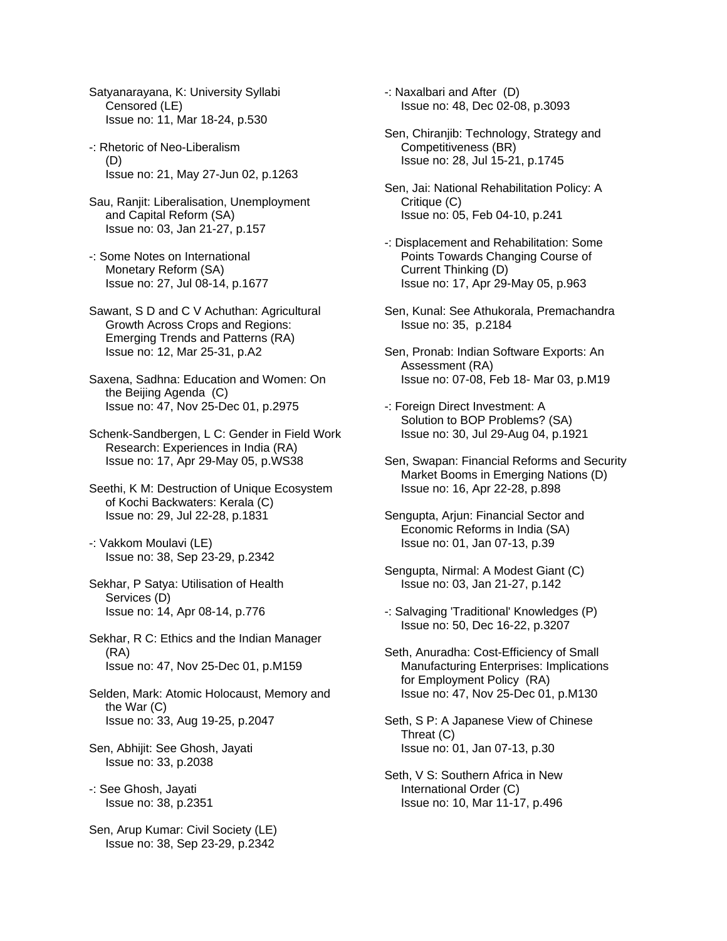Satyanarayana, K: University Syllabi Censored (LE) Issue no: 11, Mar 18-24, p.530

- -: Rhetoric of Neo-Liberalism (D) Issue no: 21, May 27-Jun 02, p.1263
- Sau, Ranjit: Liberalisation, Unemployment and Capital Reform (SA) Issue no: 03, Jan 21-27, p.157
- -: Some Notes on International Monetary Reform (SA) Issue no: 27, Jul 08-14, p.1677
- Sawant, S D and C V Achuthan: Agricultural Growth Across Crops and Regions: Emerging Trends and Patterns (RA) Issue no: 12, Mar 25-31, p.A2
- Saxena, Sadhna: Education and Women: On the Beijing Agenda (C) Issue no: 47, Nov 25-Dec 01, p.2975
- Schenk-Sandbergen, L C: Gender in Field Work Research: Experiences in India (RA) Issue no: 17, Apr 29-May 05, p.WS38
- Seethi, K M: Destruction of Unique Ecosystem of Kochi Backwaters: Kerala (C) Issue no: 29, Jul 22-28, p.1831
- -: Vakkom Moulavi (LE) Issue no: 38, Sep 23-29, p.2342
- Sekhar, P Satya: Utilisation of Health Services (D) Issue no: 14, Apr 08-14, p.776
- Sekhar, R C: Ethics and the Indian Manager (RA) Issue no: 47, Nov 25-Dec 01, p.M159
- Selden, Mark: Atomic Holocaust, Memory and the War (C) Issue no: 33, Aug 19-25, p.2047
- Sen, Abhijit: See Ghosh, Jayati Issue no: 33, p.2038
- -: See Ghosh, Jayati Issue no: 38, p.2351
- Sen, Arup Kumar: Civil Society (LE) Issue no: 38, Sep 23-29, p.2342
- -: Naxalbari and After (D) Issue no: 48, Dec 02-08, p.3093
- Sen, Chiranjib: Technology, Strategy and Competitiveness (BR) Issue no: 28, Jul 15-21, p.1745
- Sen, Jai: National Rehabilitation Policy: A Critique (C) Issue no: 05, Feb 04-10, p.241
- -: Displacement and Rehabilitation: Some Points Towards Changing Course of Current Thinking (D) Issue no: 17, Apr 29-May 05, p.963
- Sen, Kunal: See Athukorala, Premachandra Issue no: 35, p.2184
- Sen, Pronab: Indian Software Exports: An Assessment (RA) Issue no: 07-08, Feb 18- Mar 03, p.M19
- -: Foreign Direct Investment: A Solution to BOP Problems? (SA) Issue no: 30, Jul 29-Aug 04, p.1921
- Sen, Swapan: Financial Reforms and Security Market Booms in Emerging Nations (D) Issue no: 16, Apr 22-28, p.898
- Sengupta, Arjun: Financial Sector and Economic Reforms in India (SA) Issue no: 01, Jan 07-13, p.39
- Sengupta, Nirmal: A Modest Giant (C) Issue no: 03, Jan 21-27, p.142
- -: Salvaging 'Traditional' Knowledges (P) Issue no: 50, Dec 16-22, p.3207
- Seth, Anuradha: Cost-Efficiency of Small Manufacturing Enterprises: Implications for Employment Policy (RA) Issue no: 47, Nov 25-Dec 01, p.M130
- Seth, S P: A Japanese View of Chinese Threat (C) Issue no: 01, Jan 07-13, p.30
- Seth, V S: Southern Africa in New International Order (C) Issue no: 10, Mar 11-17, p.496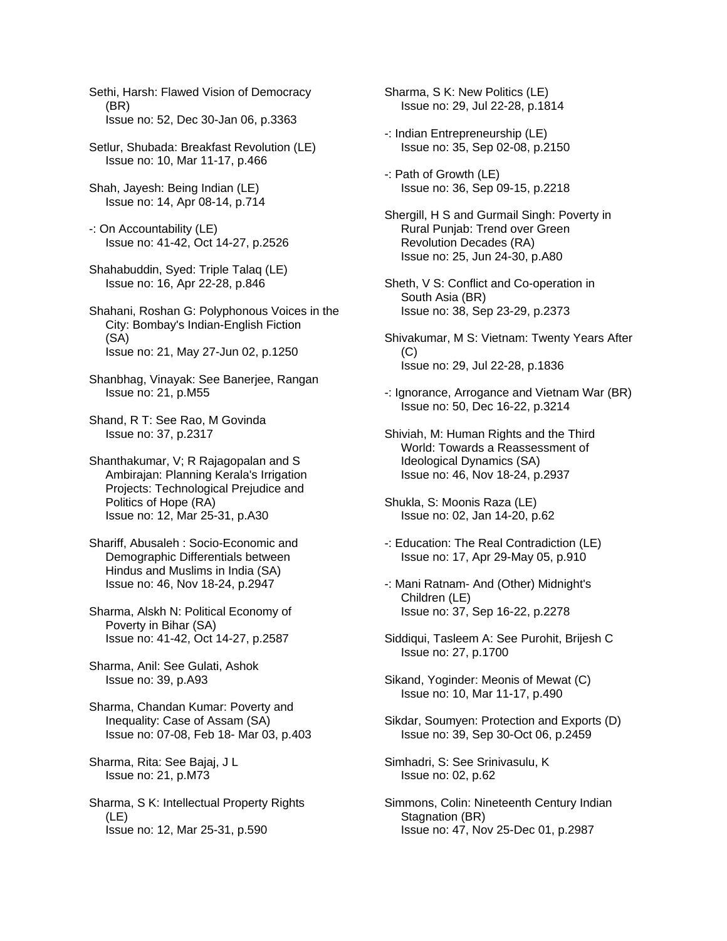Sethi, Harsh: Flawed Vision of Democracy (BR) Issue no: 52, Dec 30-Jan 06, p.3363

Setlur, Shubada: Breakfast Revolution (LE) Issue no: 10, Mar 11-17, p.466

- Shah, Jayesh: Being Indian (LE) Issue no: 14, Apr 08-14, p.714
- -: On Accountability (LE) Issue no: 41-42, Oct 14-27, p.2526
- Shahabuddin, Syed: Triple Talaq (LE) Issue no: 16, Apr 22-28, p.846

Shahani, Roshan G: Polyphonous Voices in the City: Bombay's Indian-English Fiction (SA) Issue no: 21, May 27-Jun 02, p.1250

- Shanbhag, Vinayak: See Banerjee, Rangan Issue no: 21, p.M55
- Shand, R T: See Rao, M Govinda Issue no: 37, p.2317
- Shanthakumar, V; R Rajagopalan and S Ambirajan: Planning Kerala's Irrigation Projects: Technological Prejudice and Politics of Hope (RA) Issue no: 12, Mar 25-31, p.A30
- Shariff, Abusaleh : Socio-Economic and Demographic Differentials between Hindus and Muslims in India (SA) Issue no: 46, Nov 18-24, p.2947
- Sharma, Alskh N: Political Economy of Poverty in Bihar (SA) Issue no: 41-42, Oct 14-27, p.2587

Sharma, Anil: See Gulati, Ashok Issue no: 39, p.A93

Sharma, Chandan Kumar: Poverty and Inequality: Case of Assam (SA) Issue no: 07-08, Feb 18- Mar 03, p.403

Sharma, Rita: See Bajaj, J L Issue no: 21, p.M73

Sharma, S K: Intellectual Property Rights (LE) Issue no: 12, Mar 25-31, p.590

Sharma, S K: New Politics (LE) Issue no: 29, Jul 22-28, p.1814

- -: Indian Entrepreneurship (LE) Issue no: 35, Sep 02-08, p.2150
- -: Path of Growth (LE) Issue no: 36, Sep 09-15, p.2218
- Shergill, H S and Gurmail Singh: Poverty in Rural Punjab: Trend over Green Revolution Decades (RA) Issue no: 25, Jun 24-30, p.A80
- Sheth, V S: Conflict and Co-operation in South Asia (BR) Issue no: 38, Sep 23-29, p.2373
- Shivakumar, M S: Vietnam: Twenty Years After (C) Issue no: 29, Jul 22-28, p.1836
- -: Ignorance, Arrogance and Vietnam War (BR) Issue no: 50, Dec 16-22, p.3214
- Shiviah, M: Human Rights and the Third World: Towards a Reassessment of Ideological Dynamics (SA) Issue no: 46, Nov 18-24, p.2937
- Shukla, S: Moonis Raza (LE) Issue no: 02, Jan 14-20, p.62
- -: Education: The Real Contradiction (LE) Issue no: 17, Apr 29-May 05, p.910
- -: Mani Ratnam- And (Other) Midnight's Children (LE) Issue no: 37, Sep 16-22, p.2278
- Siddiqui, Tasleem A: See Purohit, Brijesh C Issue no: 27, p.1700
- Sikand, Yoginder: Meonis of Mewat (C) Issue no: 10, Mar 11-17, p.490
- Sikdar, Soumyen: Protection and Exports (D) Issue no: 39, Sep 30-Oct 06, p.2459
- Simhadri, S: See Srinivasulu, K Issue no: 02, p.62
- Simmons, Colin: Nineteenth Century Indian Stagnation (BR) Issue no: 47, Nov 25-Dec 01, p.2987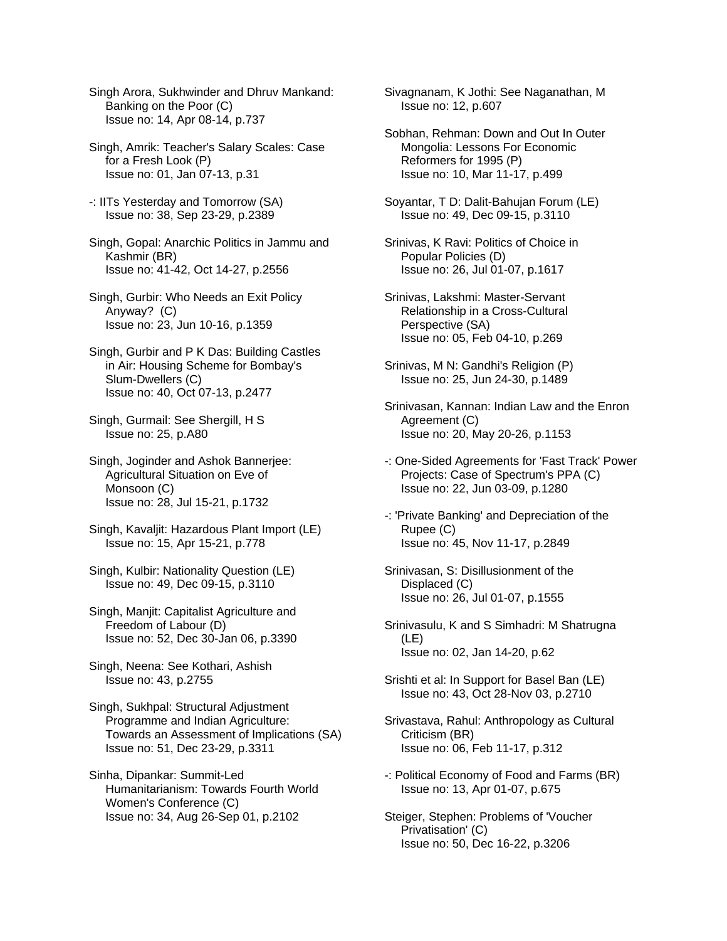Singh Arora, Sukhwinder and Dhruv Mankand: Banking on the Poor (C) Issue no: 14, Apr 08-14, p.737

Singh, Amrik: Teacher's Salary Scales: Case for a Fresh Look (P) Issue no: 01, Jan 07-13, p.31

-: IITs Yesterday and Tomorrow (SA) Issue no: 38, Sep 23-29, p.2389

Singh, Gopal: Anarchic Politics in Jammu and Kashmir (BR) Issue no: 41-42, Oct 14-27, p.2556

Singh, Gurbir: Who Needs an Exit Policy Anyway? (C) Issue no: 23, Jun 10-16, p.1359

Singh, Gurbir and P K Das: Building Castles in Air: Housing Scheme for Bombay's Slum-Dwellers (C) Issue no: 40, Oct 07-13, p.2477

Singh, Gurmail: See Shergill, H S Issue no: 25, p.A80

Singh, Joginder and Ashok Bannerjee: Agricultural Situation on Eve of Monsoon (C) Issue no: 28, Jul 15-21, p.1732

Singh, Kavaljit: Hazardous Plant Import (LE) Issue no: 15, Apr 15-21, p.778

Singh, Kulbir: Nationality Question (LE) Issue no: 49, Dec 09-15, p.3110

Singh, Manjit: Capitalist Agriculture and Freedom of Labour (D) Issue no: 52, Dec 30-Jan 06, p.3390

Singh, Neena: See Kothari, Ashish Issue no: 43, p.2755

Singh, Sukhpal: Structural Adjustment Programme and Indian Agriculture: Towards an Assessment of Implications (SA) Issue no: 51, Dec 23-29, p.3311

Sinha, Dipankar: Summit-Led Humanitarianism: Towards Fourth World Women's Conference (C) Issue no: 34, Aug 26-Sep 01, p.2102

Sivagnanam, K Jothi: See Naganathan, M Issue no: 12, p.607

Sobhan, Rehman: Down and Out In Outer Mongolia: Lessons For Economic Reformers for 1995 (P) Issue no: 10, Mar 11-17, p.499

Soyantar, T D: Dalit-Bahujan Forum (LE) Issue no: 49, Dec 09-15, p.3110

Srinivas, K Ravi: Politics of Choice in Popular Policies (D) Issue no: 26, Jul 01-07, p.1617

Srinivas, Lakshmi: Master-Servant Relationship in a Cross-Cultural Perspective (SA) Issue no: 05, Feb 04-10, p.269

Srinivas, M N: Gandhi's Religion (P) Issue no: 25, Jun 24-30, p.1489

Srinivasan, Kannan: Indian Law and the Enron Agreement (C) Issue no: 20, May 20-26, p.1153

-: One-Sided Agreements for 'Fast Track' Power Projects: Case of Spectrum's PPA (C) Issue no: 22, Jun 03-09, p.1280

-: 'Private Banking' and Depreciation of the Rupee (C) Issue no: 45, Nov 11-17, p.2849

Srinivasan, S: Disillusionment of the Displaced (C) Issue no: 26, Jul 01-07, p.1555

Srinivasulu, K and S Simhadri: M Shatrugna (LE) Issue no: 02, Jan 14-20, p.62

Srishti et al: In Support for Basel Ban (LE) Issue no: 43, Oct 28-Nov 03, p.2710

Srivastava, Rahul: Anthropology as Cultural Criticism (BR) Issue no: 06, Feb 11-17, p.312

-: Political Economy of Food and Farms (BR) Issue no: 13, Apr 01-07, p.675

Steiger, Stephen: Problems of 'Voucher Privatisation' (C) Issue no: 50, Dec 16-22, p.3206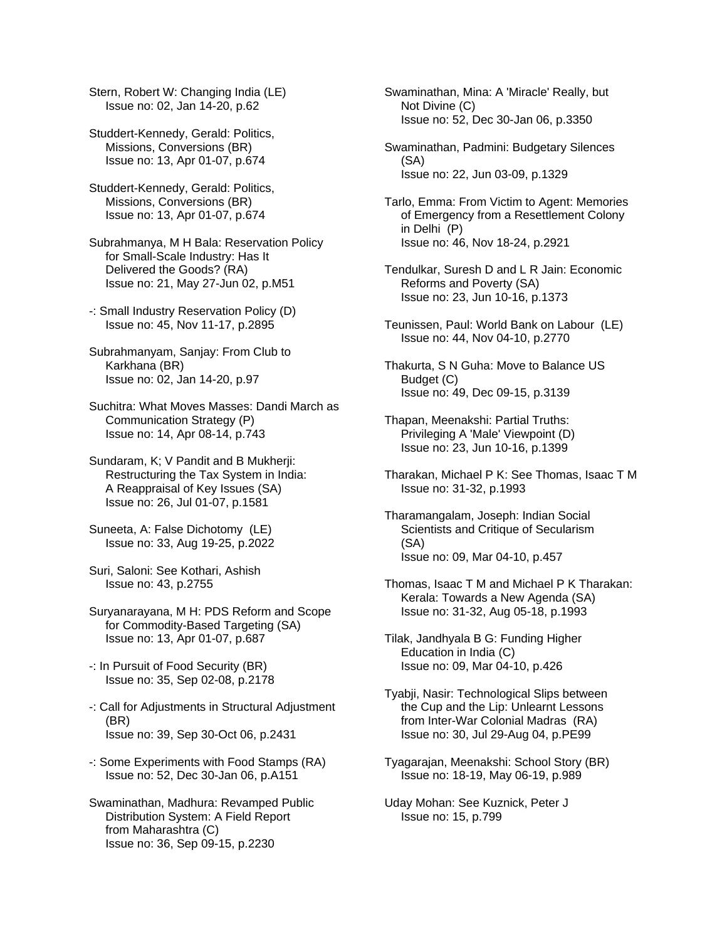Stern, Robert W: Changing India (LE) Issue no: 02, Jan 14-20, p.62

- Studdert-Kennedy, Gerald: Politics, Missions, Conversions (BR) Issue no: 13, Apr 01-07, p.674
- Studdert-Kennedy, Gerald: Politics, Missions, Conversions (BR) Issue no: 13, Apr 01-07, p.674
- Subrahmanya, M H Bala: Reservation Policy for Small-Scale Industry: Has It Delivered the Goods? (RA) Issue no: 21, May 27-Jun 02, p.M51
- -: Small Industry Reservation Policy (D) Issue no: 45, Nov 11-17, p.2895
- Subrahmanyam, Sanjay: From Club to Karkhana (BR) Issue no: 02, Jan 14-20, p.97
- Suchitra: What Moves Masses: Dandi March as Communication Strategy (P) Issue no: 14, Apr 08-14, p.743
- Sundaram, K; V Pandit and B Mukherji: Restructuring the Tax System in India: A Reappraisal of Key Issues (SA) Issue no: 26, Jul 01-07, p.1581
- Suneeta, A: False Dichotomy (LE) Issue no: 33, Aug 19-25, p.2022
- Suri, Saloni: See Kothari, Ashish Issue no: 43, p.2755
- Suryanarayana, M H: PDS Reform and Scope for Commodity-Based Targeting (SA) Issue no: 13, Apr 01-07, p.687
- -: In Pursuit of Food Security (BR) Issue no: 35, Sep 02-08, p.2178
- -: Call for Adjustments in Structural Adjustment (BR) Issue no: 39, Sep 30-Oct 06, p.2431
- -: Some Experiments with Food Stamps (RA) Issue no: 52, Dec 30-Jan 06, p.A151
- Swaminathan, Madhura: Revamped Public Distribution System: A Field Report from Maharashtra (C) Issue no: 36, Sep 09-15, p.2230
- Swaminathan, Mina: A 'Miracle' Really, but Not Divine (C) Issue no: 52, Dec 30-Jan 06, p.3350
- Swaminathan, Padmini: Budgetary Silences (SA) Issue no: 22, Jun 03-09, p.1329
- Tarlo, Emma: From Victim to Agent: Memories of Emergency from a Resettlement Colony in Delhi (P) Issue no: 46, Nov 18-24, p.2921
- Tendulkar, Suresh D and L R Jain: Economic Reforms and Poverty (SA) Issue no: 23, Jun 10-16, p.1373
- Teunissen, Paul: World Bank on Labour (LE) Issue no: 44, Nov 04-10, p.2770
- Thakurta, S N Guha: Move to Balance US Budget (C) Issue no: 49, Dec 09-15, p.3139
- Thapan, Meenakshi: Partial Truths: Privileging A 'Male' Viewpoint (D) Issue no: 23, Jun 10-16, p.1399
- Tharakan, Michael P K: See Thomas, Isaac T M Issue no: 31-32, p.1993
- Tharamangalam, Joseph: Indian Social Scientists and Critique of Secularism (SA) Issue no: 09, Mar 04-10, p.457
- Thomas, Isaac T M and Michael P K Tharakan: Kerala: Towards a New Agenda (SA) Issue no: 31-32, Aug 05-18, p.1993
- Tilak, Jandhyala B G: Funding Higher Education in India (C) Issue no: 09, Mar 04-10, p.426
- Tyabji, Nasir: Technological Slips between the Cup and the Lip: Unlearnt Lessons from Inter-War Colonial Madras (RA) Issue no: 30, Jul 29-Aug 04, p.PE99
- Tyagarajan, Meenakshi: School Story (BR) Issue no: 18-19, May 06-19, p.989
- Uday Mohan: See Kuznick, Peter J Issue no: 15, p.799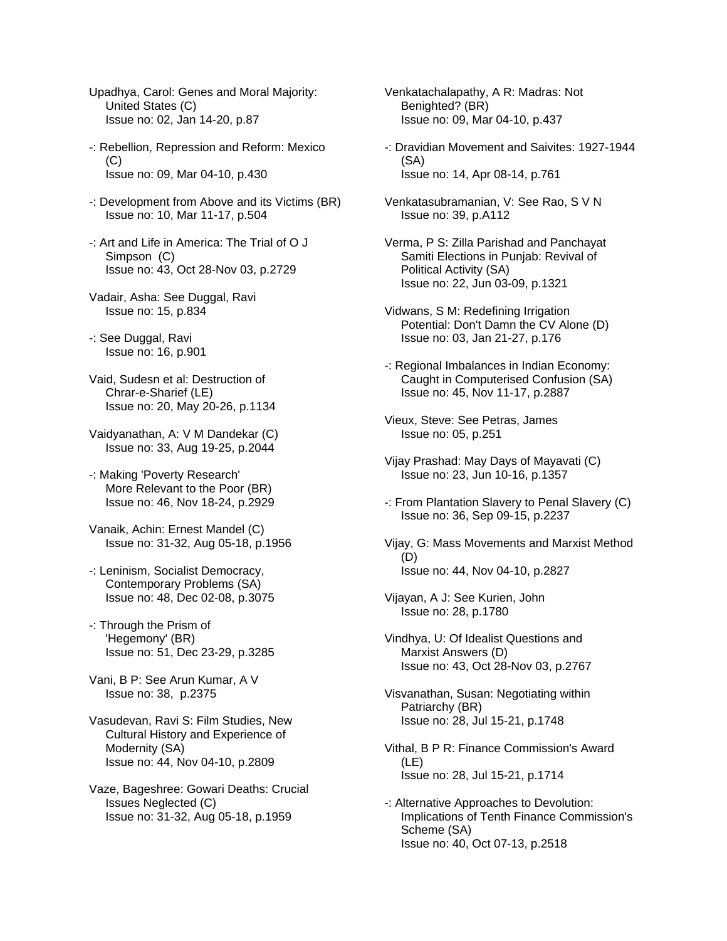Upadhya, Carol: Genes and Moral Majority: United States (C) Issue no: 02, Jan 14-20, p.87

- -: Rebellion, Repression and Reform: Mexico  $(C)$ Issue no: 09, Mar 04-10, p.430
- -: Development from Above and its Victims (BR) Issue no: 10, Mar 11-17, p.504
- -: Art and Life in America: The Trial of O J Simpson (C) Issue no: 43, Oct 28-Nov 03, p.2729
- Vadair, Asha: See Duggal, Ravi Issue no: 15, p.834
- -: See Duggal, Ravi Issue no: 16, p.901
- Vaid, Sudesn et al: Destruction of Chrar-e-Sharief (LE) Issue no: 20, May 20-26, p.1134
- Vaidyanathan, A: V M Dandekar (C) Issue no: 33, Aug 19-25, p.2044
- -: Making 'Poverty Research' More Relevant to the Poor (BR) Issue no: 46, Nov 18-24, p.2929
- Vanaik, Achin: Ernest Mandel (C) Issue no: 31-32, Aug 05-18, p.1956
- -: Leninism, Socialist Democracy, Contemporary Problems (SA) Issue no: 48, Dec 02-08, p.3075
- -: Through the Prism of 'Hegemony' (BR) Issue no: 51, Dec 23-29, p.3285
- Vani, B P: See Arun Kumar, A V Issue no: 38, p.2375
- Vasudevan, Ravi S: Film Studies, New Cultural History and Experience of Modernity (SA) Issue no: 44, Nov 04-10, p.2809
- Vaze, Bageshree: Gowari Deaths: Crucial Issues Neglected (C) Issue no: 31-32, Aug 05-18, p.1959
- Venkatachalapathy, A R: Madras: Not Benighted? (BR) Issue no: 09, Mar 04-10, p.437
- -: Dravidian Movement and Saivites: 1927-1944 (SA) Issue no: 14, Apr 08-14, p.761
- Venkatasubramanian, V: See Rao, S V N Issue no: 39, p.A112
- Verma, P S: Zilla Parishad and Panchayat Samiti Elections in Punjab: Revival of Political Activity (SA) Issue no: 22, Jun 03-09, p.1321
- Vidwans, S M: Redefining Irrigation Potential: Don't Damn the CV Alone (D) Issue no: 03, Jan 21-27, p.176
- -: Regional Imbalances in Indian Economy: Caught in Computerised Confusion (SA) Issue no: 45, Nov 11-17, p.2887
- Vieux, Steve: See Petras, James Issue no: 05, p.251
- Vijay Prashad: May Days of Mayavati (C) Issue no: 23, Jun 10-16, p.1357
- -: From Plantation Slavery to Penal Slavery (C) Issue no: 36, Sep 09-15, p.2237
- Vijay, G: Mass Movements and Marxist Method (D) Issue no: 44, Nov 04-10, p.2827
- Vijayan, A J: See Kurien, John Issue no: 28, p.1780
- Vindhya, U: Of Idealist Questions and Marxist Answers (D) Issue no: 43, Oct 28-Nov 03, p.2767
- Visvanathan, Susan: Negotiating within Patriarchy (BR) Issue no: 28, Jul 15-21, p.1748
- Vithal, B P R: Finance Commission's Award (LE) Issue no: 28, Jul 15-21, p.1714
- -: Alternative Approaches to Devolution: Implications of Tenth Finance Commission's Scheme (SA) Issue no: 40, Oct 07-13, p.2518